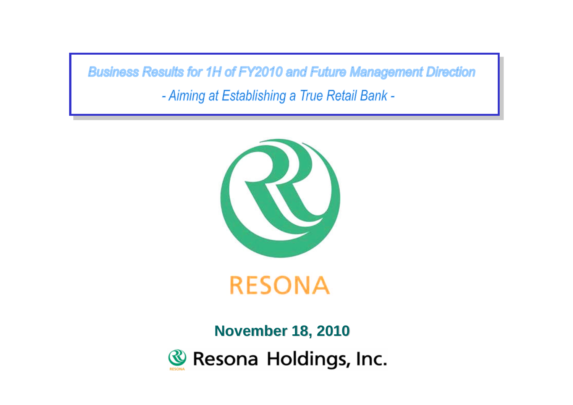**Business Results for 1H of FY2010 and Future Management Direction** 

- Aiming at Establishing a True Retail Bank -



**November 18, 2010**Resona Holdings, Inc.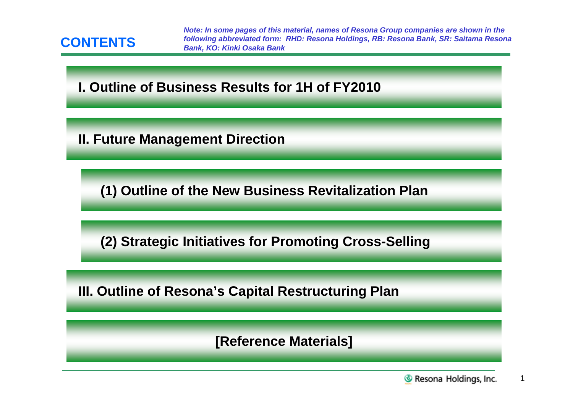

*Note: In some pages of this material, names of Resona Group companies are shown in the following abbreviated form: RHD: Resona Holdings, RB: Resona Bank, SR: Saitama Resona Bank, KO: Kinki Osaka Bank*

# **I. Outline of Business Results for 1H of FY2010**

**II. Future Management Direction**

**(1) Outline of the New Business Revitalization Plan**

**(2) Strategic Initiatives for Promoting Cross-Selling**

**III. Outline of Resona's Capital Restructuring Plan**

**[Reference Materials]**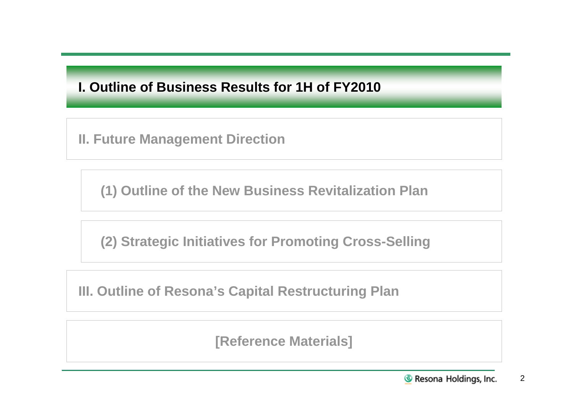# **I. Outline of Business Results for 1H of FY2010**

**II. Future Management Direction**

**(1) Outline of the New Business Revitalization Plan**

**(2) Strategic Initiatives for Promoting Cross-Selling**

**III. Outline of Resona's Capital Restructuring Plan**

**[Reference Materials]**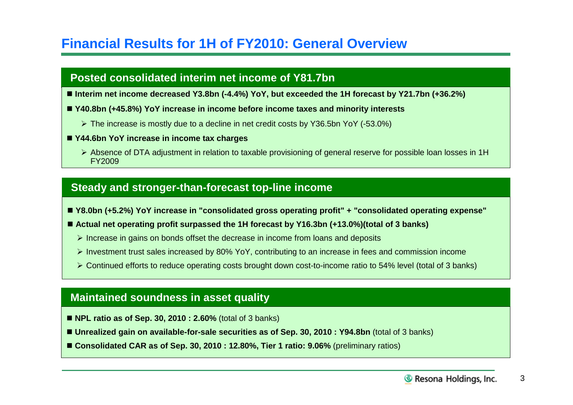# **Financial Results for 1H of FY2010: General Overview**

## **Posted consolidated interim net income of Y81.7bn**

- **Interim net income decreased Y3.8bn (-4.4%) YoY, but exceeded the 1H forecast by Y21.7bn (+36.2%)**
- **Y40.8bn (+45.8%) YoY increase in income before income taxes and minority interests**
	- The increase is mostly due to a decline in net credit costs by Y36.5bn YoY (-53.0%)
- **Y44.6bn YoY increase in income tax charges**
	- Absence of DTA adjustment in relation to taxable provisioning of general reserve for possible loan losses in 1H FY2009

## **Steady and stronger-than-forecast top-line income**

- **Y8.0bn (+5.2%) YoY increase in "consolidated gross operating profit" + "consolidated operating expense"**
- Actual net operating profit surpassed the 1H forecast by Y16.3bn (+13.0%)(total of 3 banks)
	- $\triangleright$  Increase in gains on bonds offset the decrease in income from loans and deposits
	- Investment trust sales increased by 80% YoY, contributing to an increase in fees and commission income
	- Continued efforts to reduce operating costs brought down cost-to-income ratio to 54% level (total of 3 banks)

## **Maintained soundness in asset quality**

- **NPL ratio as of Sep. 30, 2010 : 2.60%** (total of 3 banks)
- **Unrealized gain on available-for-sale securities as of Sep. 30, 2010 : Y94.8bn** (total of 3 banks)
- Consolidated CAR as of Sep. 30, 2010 : 12.80%, Tier 1 ratio: 9.06% (preliminary ratios)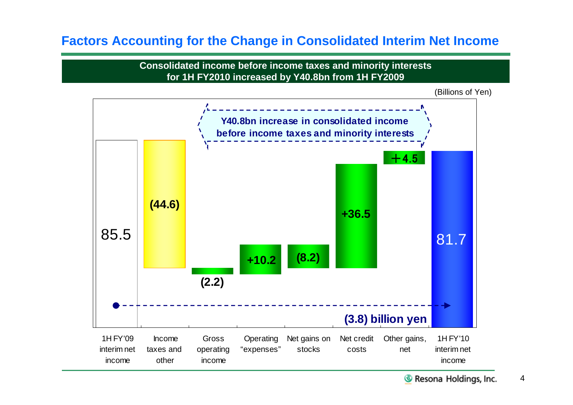# **Factors Accounting for the Change in Consolidated Interim Net Income**

**Consolidated income before income taxes and minority interests for 1H FY2010 increased by Y40.8bn from 1H FY2009**

(Billions of Yen)

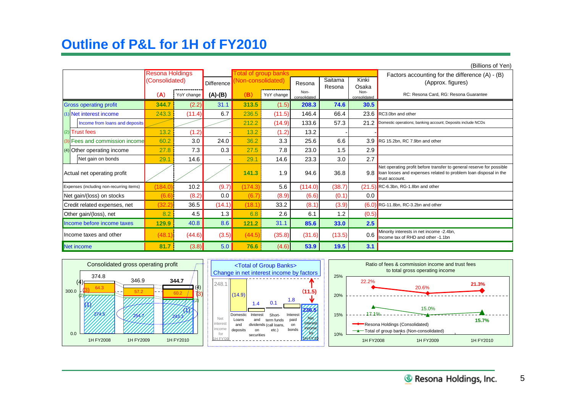# **Outline of P&L for 1H of FY2010**

| (Billions of Yen)                        |                        |            |                   |                   |                             |                      |         |                      |                                                                                                                                                            |  |  |  |
|------------------------------------------|------------------------|------------|-------------------|-------------------|-----------------------------|----------------------|---------|----------------------|------------------------------------------------------------------------------------------------------------------------------------------------------------|--|--|--|
|                                          | <b>Resona Holdings</b> |            |                   |                   | <b>Total of group banks</b> |                      | Saitama | Kinki                | Factors accounting for the difference $(A) - (B)$                                                                                                          |  |  |  |
|                                          | (Consolidated)         |            | <b>Difference</b> | Non-consolidated) |                             | Resona               | Resona  | Osaka                | (Approx. figures)                                                                                                                                          |  |  |  |
|                                          | (A)                    | YoY change | $(A)-(B)$         | (B)               | YoY change                  | Non-<br>consolidated |         | Non-<br>consolidated | RC: Resona Card, RG: Resona Guarantee                                                                                                                      |  |  |  |
| <b>Gross operating profit</b>            | 344.7                  | (2.2)      | 31.1              | 313.5             | (1.5)                       | 208.3                | 74.6    | 30.5                 |                                                                                                                                                            |  |  |  |
| (1) Net interest income                  | 243.3                  | (11.4)     | 6.7               | 236.5             | (11.5)                      | 146.4                | 66.4    | 23.6                 | RC3.0bn and other                                                                                                                                          |  |  |  |
| Income from loans and deposits           |                        |            |                   | 212.2             | (14.9)                      | 133.6                | 57.3    | 21.2                 | Domestic operations; banking account; Deposits include NCDs                                                                                                |  |  |  |
| (2) Trust fees                           | 13.2                   | (1.2)      |                   | 13.2              | (1.2)                       | 13.2                 |         |                      |                                                                                                                                                            |  |  |  |
| (3) Fees and commission income           | 60.2                   | 3.0        | 24.0              | 36.2              | 3.3                         | 25.6                 | 6.6     | 3.9                  | RG 15.2bn, RC 7.9bn and other                                                                                                                              |  |  |  |
| $(4)$ Other operating income             | 27.8                   | 7.3        | 0.3               | 27.5              | 7.8                         | 23.0                 | 1.5     | 2.9                  |                                                                                                                                                            |  |  |  |
| Net gain on bonds                        | 29.                    | 14.6       |                   | 29.1              | 14.6                        | 23.3                 | 3.0     | 2.7                  |                                                                                                                                                            |  |  |  |
| Actual net operating profit              |                        |            |                   | 141.3             | 1.9                         | 94.6                 | 36.8    | 9.8                  | Net operating profit before transfer to general reserve for possible<br>loan losses and expenses related to problem loan disposal in the<br>trust account. |  |  |  |
| Expenses (including non-recurring items) | 184.0                  | 10.2       | (9.7)             | (174.3)           | 5.6                         | (114.0)              | (38.7)  |                      | $(21.5)$ RC-6.3bn, RG-1.8bn and other                                                                                                                      |  |  |  |
| Net gain/(loss) on stocks                | (6.6)                  | (8.2)      | 0.0               | (6.7)             | (8.9)                       | (6.6)                | (0.1)   | 0.0                  |                                                                                                                                                            |  |  |  |
| Credit related expenses, net             | (32.2                  | 36.5       | (14.1)            | (18.1)            | 33.2                        | (8.1)                | (3.9)   |                      | $(6.0)$ RG-11.8bn, RC-3.2bn and other                                                                                                                      |  |  |  |
| Other gain/(loss), net                   | 8.2                    | 4.5        | 1.3               | 6.8               | 2.6                         | 6.1                  | 1.2     | (0.5)                |                                                                                                                                                            |  |  |  |
| Income before income taxes               | 129.9                  | 40.8       | 8.6               | 121.2             | 31.1                        | 85.6                 | 33.0    | 2.5                  |                                                                                                                                                            |  |  |  |
| Income taxes and other                   | (48.1)                 | (44.6)     | (3.5)             | (44.5)            | (35.8)                      | (31.6)               | (13.5)  | 0.6                  | Minority interests in net income -2.4bn,<br>Income tax of RHD and other -1.1bn                                                                             |  |  |  |
| Net income                               | 81.7                   | (3.8)      | 5.0               | 76.6              | (4.6)                       | 53.9                 | 19.5    | 3.1                  |                                                                                                                                                            |  |  |  |



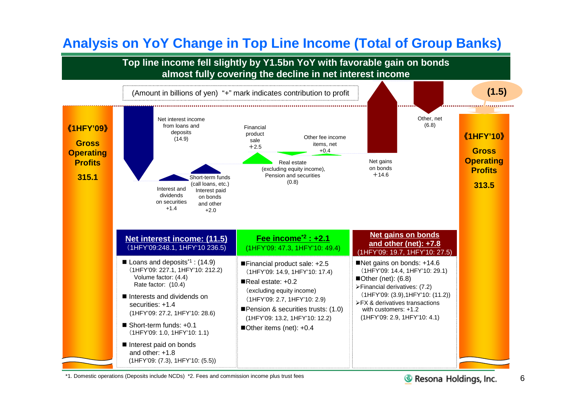# **Analysis on YoY Change in Top Line Income (Total of Group Banks)**



\*1. Domestic operations (Deposits include NCDs) \*2. Fees and commission income plus trust fees

Resona Holdings, Inc.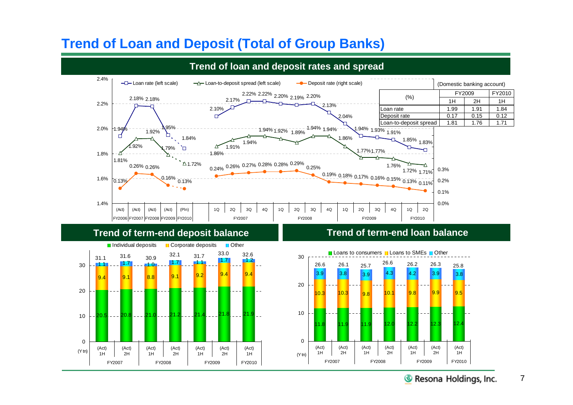# **Trend of Loan and Deposit (Total of Group Banks)**



## **Trend of loan and deposit rates and spread**

## **Trend of term-end deposit balance**



## **Trend of term-end loan balance**

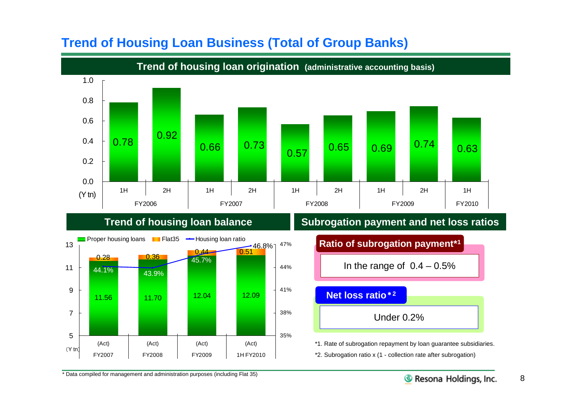

# **Trend of Housing Loan Business (Total of Group Banks)**

## **Trend of housing loan balance**



## **Subrogation payment and net loss ratios**

| Ratio of subrogation payment*1 |  |  |  |  |  |  |  |
|--------------------------------|--|--|--|--|--|--|--|
| In the range of $0.4 - 0.5\%$  |  |  |  |  |  |  |  |
| Net loss ratio*2               |  |  |  |  |  |  |  |
| Under $0.2\%$                  |  |  |  |  |  |  |  |
|                                |  |  |  |  |  |  |  |

\*1. Rate of subrogation repayment by loan guarantee subsidiaries. \*2. Subrogation ratio x (1 - collection rate after subrogation)

\* Data compiled for management and administration purposes (including Flat 35)

8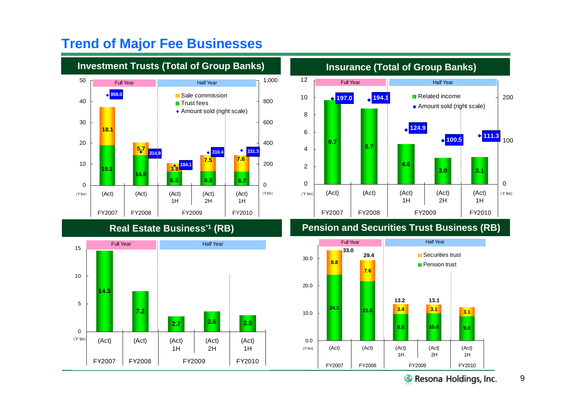

# **Trend of Major Fee Businesses**





**Real Estate Business\*1 (RB) Pension and Securities Trust Business (RB)**

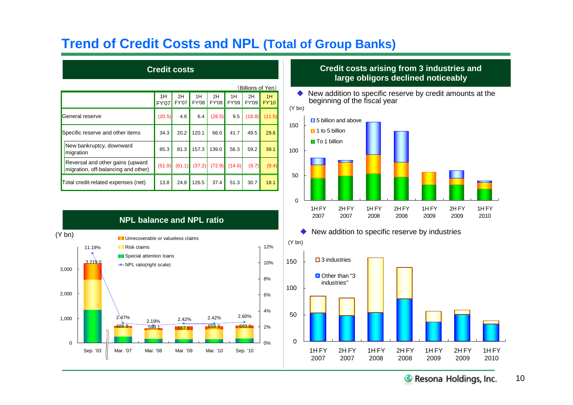# **Trend of Credit Costs and NPL (Total of Group Banks)**

|                                                                         |             |                    |                    |                    |             | (Billions of Yen)  |                    |
|-------------------------------------------------------------------------|-------------|--------------------|--------------------|--------------------|-------------|--------------------|--------------------|
|                                                                         | 1H<br>FY'07 | 2H<br><b>FY'07</b> | 1H<br><b>FY'08</b> | 2H<br><b>FY'08</b> | 1H<br>FY'09 | 2H<br><b>FY'09</b> | 1H<br><b>FY'10</b> |
| General reserve                                                         | (20.5)      | 4.6                | 6.4                | (28.5)             | 9.5         | (18.8)             | (11.5)             |
| Specific reserve and other items                                        | 34.3        | 20.2               | 120.1              | 66.0               | 41.7        | 49.5               | 29.6               |
| New bankruptcy, downward<br>migration                                   | 85.3        | 81.3               | 157.3              | 139.0              | 56.3        | 59.2               | 39.1               |
| Reversal and other gains (upward<br>migration, off-balancing and other) | (51.0)      | (61.1)             | (37.2)             | (72.9)             | (14.6)      | (9.7)              | (9.4)              |
| Total credit-related expenses (net)                                     | 13.8        | 24.8               | 126.5              | 37.4               | 51.3        | 30.7               | 18.1               |

**NPL balance and NPL ratio**

## **Credit costs Credit costs arising from 3 industries and large obligors declined noticeably**

◆ New addition to specific reserve by credit amounts at the beginning of the fiscal year









10 Resona Holdings, Inc.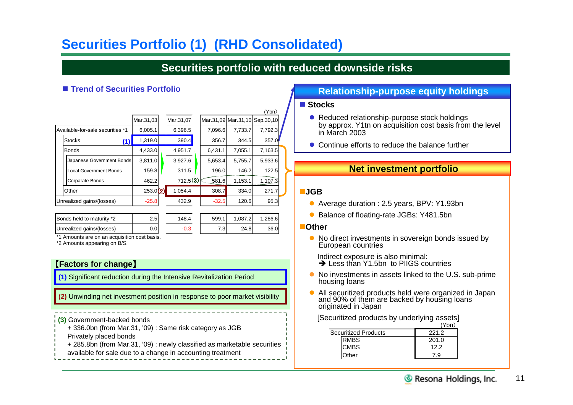# **Securities Portfolio (1) (RHD Consolidated)**

## **Securities portfolio with reduced downside risks**

(Ybn)

|                                  |           |           |         |         | 1 N I 1                       |  |
|----------------------------------|-----------|-----------|---------|---------|-------------------------------|--|
|                                  | Mar.31,03 | Mar.31,07 |         |         | Mar.31,09 Mar.31,10 Sep.30,10 |  |
| Available-for-sale securities *1 | 6,005.1   | 6,396.5   | 7,096.6 | 7,733.7 | 7,792.3                       |  |
| <b>Stocks</b><br>(1)             | 1,319.0   | 390.4     | 356.7   | 344.5   | 357.0                         |  |
| <b>Bonds</b>                     | 4,433.0   | 4,951.7   | 6,431.1 | 7,055.1 | 7,163.5                       |  |
| Japanese Government Bonds        | 3,811.0   | 3,927.6   | 5,653.4 | 5,755.7 | 5,933.6                       |  |
| <b>Local Government Bonds</b>    | 159.8     | 311.5     | 196.0   | 146.2   | 122.5                         |  |
| Corparate Bonds                  | 462.2     | 712.5(3)  | 581.6   | 1,153.1 | 1,107,3                       |  |
| Other                            | 253.0(2)  | 1,054.4   | 308.7   | 334.0   | 271.7                         |  |
| Unrealized gains/(losses)        | $-25.8$   | 432.9     | $-32.5$ | 120.6   | 95.3                          |  |
|                                  |           |           |         |         |                               |  |

| <b>Bonds held to maturity *2</b> | 2.5  | 148.4 | 599.1 | 1.087.2 | .286.6 |
|----------------------------------|------|-------|-------|---------|--------|
| Unrealized gains/(losses)        | J.OI |       | 7.3I  | 24.8    | 36.0   |

| 599.1 | 1,087.2 | 1,286.6 |
|-------|---------|---------|
|       | 24.8    | 36.0    |

\*1 Amounts are on an acquisition cost basis.

\*2 Amounts appearing on B/S.

### 【**Factors for change**】

**(1)** Significant reduction during the Intensive Revitalization Period

**(2)** Unwinding net investment position in response to poor market visibility

**(3)** Government-backed bonds

- + 336.0bn (from Mar.31, '09) : Same risk category as JGB
- Privately placed bonds
- + 285.8bn (from Mar.31, '09) : newly classified as marketable securities
- available for sale due to a change in accounting treatment

## ■ Trend of Securities Portfolio **Relationship-purpose equity holdings**

### **Stocks**

- Reduced relationship-purpose stock holdings by approx. Y1tn on acquisition cost basis from the level in March 2003
- Continue efforts to reduce the balance further

## **Net investment portfolio**

### **JGB**

- Average duration : 2.5 years, BPV: Y1.93bn
- Balance of floating-rate JGBs: Y481.5bn

### **Other**

• No direct investments in sovereign bonds issued by European countries

Indirect exposure is also minimal:

- $\rightarrow$  Less than Y1.5bn to PIIGS countries
- No investments in assets linked to the U.S. sub-prime housing loans
- All securitized products held were organized in Japan and 90% of them are backed by housing loans originated in Japan

[Securitized products by underlying assets]  $(Vhn)$ 

| <b>Securitized Products</b> | 221.2 |
|-----------------------------|-------|
| <b>RMBS</b>                 | 201.0 |
| <b>CMBS</b>                 | 122   |
| Other                       | o     |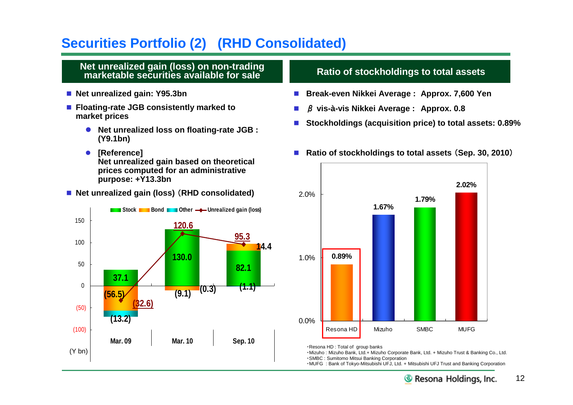# **Securities Portfolio (2) (RHD Consolidated)**

### **Net unrealized gain (loss) on non-trading marketable securities available for sale**

- Net unrealized gain: Y95.3bn
- **Floating-rate JGB consistently marked to market prices**
	- **Net unrealized loss on floating-rate JGB : (Y9.1bn)**
	- **[Reference] Net unrealized gain based on theoretical prices computed for an administrative purpose: +Y13.3bn**
- Net unrealized gain (loss) (RHD consolidated)



## **Ratio of stockholdings to total assets**

- **Break-even Nikkei Average : Approx. 7,600 Yen**
- β **vis-à-vis Nikkei Average : Approx. 0.8**
- Stockholdings (acquisition price) to total assets: 0.89%
- Ratio of stockholdings to total assets (Sep. 30, 2010)



<sup>・</sup>Resona HD : Total of group banks

・Mizuho : Mizuho Bank, Ltd.+ Mizuho Corporate Bank, Ltd. + Mizuho Trust & Banking Co., Ltd. ・SMBC : Sumitomo Mitsui Banking Corporation

・MUFG : Bank of Tokyo-Mitsubishi UFJ, Ltd. + Mitsubishi UFJ Trust and Banking Corporation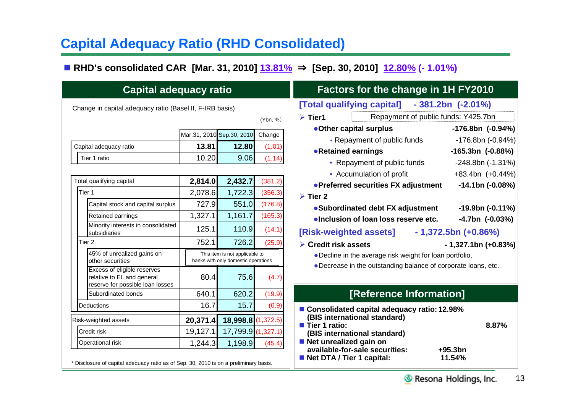# **Capital Adequacy Ratio (RHD Consolidated)**

**RHD's consolidated CAR [Mar. 31, 2010] 13.81%** ⇒ **[Sep. 30, 2010] 12.80% (- 1.01%)**

| <b>Capital adequacy ratio</b>                                                                               |                                             |                                                                               |                               | <b>Factors for the change in 1H FY2010</b>                                                                               |                                                                            |  |  |  |  |
|-------------------------------------------------------------------------------------------------------------|---------------------------------------------|-------------------------------------------------------------------------------|-------------------------------|--------------------------------------------------------------------------------------------------------------------------|----------------------------------------------------------------------------|--|--|--|--|
| Change in capital adequacy ratio (Basel II, F-IRB basis)                                                    |                                             |                                                                               | (Ybn, %)                      | [Total qualifying capital] - 381.2bn (-2.01%)<br>Repayment of public funds: Y425.7br<br>$\triangleright$ Tier1           |                                                                            |  |  |  |  |
| Capital adequacy ratio<br>Tier 1 ratio                                                                      | Mar.31, 2010 Sep.30, 2010<br>13.81<br>10.20 | 12.80<br>9.06                                                                 | Change<br>(1.01)<br>(1.14)    | •Other capital surplus<br>• Repayment of public funds<br>• Retained earnings<br>• Repayment of public funds              | $-176.8bn$ (-0<br>$-176.8bn$ (-<br>$-165.3bn$ $(-0)$<br>$-248.8$ bn ( $-7$ |  |  |  |  |
| Total qualifying capital                                                                                    | 2,814.0                                     | 2,432.7                                                                       | (381.2)                       | • Accumulation of profit<br>• Preferred securities FX adjustment                                                         | $+83.4$ bn $(+)$<br>$-14.1bn$ (-                                           |  |  |  |  |
| Tier 1<br>Capital stock and capital surplus<br>Retained earnings                                            | 2,078.6<br>727.9<br>1,327.1                 | 1,722.3<br>551.0<br>1,161.7                                                   | (356.3)<br>(176.8)<br>(165.3) | $\triangleright$ Tier 2<br>• Subordinated debt FX adjustment<br>·Inclusion of loan loss reserve etc.                     | $-19.9$ bn (-0<br>$-4.7bn$ $(-0)$                                          |  |  |  |  |
| Minority interests in consolidated<br>subsidiaries<br>Tier <sub>2</sub>                                     | 125.1<br>752.1                              | 110.9<br>726.2                                                                | (14.1)<br>(25.9)              | [Risk-weighted assets]<br>$\triangleright$ Credit risk assets                                                            | $-1,372.5$ bn (+0.86%)<br>$-1,327.1$ bn (+                                 |  |  |  |  |
| 45% of unrealized gains on<br>other securities<br>Excess of eligible reserves<br>relative to EL and general | 80.4                                        | This item is not applicable to<br>banks with only domestic operations<br>75.6 | (4.7)                         | • Decline in the average risk weight for loan portfolio,<br>• Decrease in the outstanding balance of corporate loans, et |                                                                            |  |  |  |  |
| reserve for possible loan losses<br>Subordinated bonds                                                      | 640.1                                       | 620.2                                                                         | (19.9)                        | [Reference Information]                                                                                                  |                                                                            |  |  |  |  |
| <b>Deductions</b><br>Risk-weighted assets                                                                   | 16.7<br>20,371.4                            | 15.7<br>18,998.8 (1,372.5)                                                    | (0.9)                         | ■ Consolidated capital adequacy ratio: 12.98%<br>(BIS international standard)<br>Tier 1 ratio:                           | 8.5                                                                        |  |  |  |  |
| Credit risk<br>Operational risk                                                                             | 19,127.1<br>1,244.3                         | 17,799.9 (1,327.1)<br>1,198.9                                                 | (45.4)                        | (BIS international standard)<br>■ Net unrealized gain on<br>available-for-sale securities:<br>Net DTA / Tier 1 capital:  | $+95.3bn$<br>11.54%                                                        |  |  |  |  |

\* Disclosure of capital adequacy ratio as of Sep. 30, 2010 is on a preliminary basis.

|                                                                                                                                                            | <b>Factors for the change in 1H FY2010</b> |  |  |  |  |  |  |  |  |  |  |
|------------------------------------------------------------------------------------------------------------------------------------------------------------|--------------------------------------------|--|--|--|--|--|--|--|--|--|--|
| [Total qualifying capital] - 381.2bn (-2.01%)                                                                                                              |                                            |  |  |  |  |  |  |  |  |  |  |
| Repayment of public funds: Y425.7bn<br>$\triangleright$ Tier1                                                                                              |                                            |  |  |  |  |  |  |  |  |  |  |
| •Other capital surplus                                                                                                                                     | $-176.8bn$ $(-0.94%)$                      |  |  |  |  |  |  |  |  |  |  |
| • Repayment of public funds                                                                                                                                | -176.8bn (-0.94%)                          |  |  |  |  |  |  |  |  |  |  |
| • Retained earnings                                                                                                                                        | $-165.3bn$ $(-0.88%)$                      |  |  |  |  |  |  |  |  |  |  |
| • Repayment of public funds                                                                                                                                | $-248.8bn$ $(-1.31\%)$                     |  |  |  |  |  |  |  |  |  |  |
| • Accumulation of profit                                                                                                                                   | +83.4bn (+0.44%)                           |  |  |  |  |  |  |  |  |  |  |
| • Preferred securities FX adjustment                                                                                                                       | $-14.1bn$ $(-0.08%)$                       |  |  |  |  |  |  |  |  |  |  |
| $\triangleright$ Tier 2                                                                                                                                    |                                            |  |  |  |  |  |  |  |  |  |  |
| • Subordinated debt FX adjustment                                                                                                                          | $-19.9$ bn ( $-0.11\%$ )                   |  |  |  |  |  |  |  |  |  |  |
| . Inclusion of loan loss reserve etc.                                                                                                                      | -4.7bn (-0.03%)                            |  |  |  |  |  |  |  |  |  |  |
| [Risk-weighted assets]                                                                                                                                     | $-1,372.5$ bn (+0.86%)                     |  |  |  |  |  |  |  |  |  |  |
| $\triangleright$ Credit risk assets                                                                                                                        | - 1,327.1bn (+0.83%)                       |  |  |  |  |  |  |  |  |  |  |
| • Decline in the average risk weight for loan portfolio,                                                                                                   |                                            |  |  |  |  |  |  |  |  |  |  |
| • Decrease in the outstanding balance of corporate loans, etc.                                                                                             |                                            |  |  |  |  |  |  |  |  |  |  |
|                                                                                                                                                            |                                            |  |  |  |  |  |  |  |  |  |  |
| [Reference Information]                                                                                                                                    |                                            |  |  |  |  |  |  |  |  |  |  |
| ■ Consolidated capital adequacy ratio: 12.98%<br>(BIS international standard)<br>Tier 1 ratio:<br>(BIS international standard)<br>■ Net unrealized gain on | 8.87%                                      |  |  |  |  |  |  |  |  |  |  |
| available-for-sale securities:<br>Net DTA / Tier 1 capital:                                                                                                | +95.3bn<br>11.54%                          |  |  |  |  |  |  |  |  |  |  |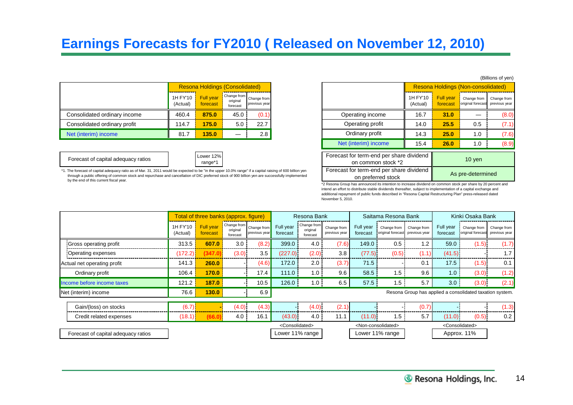# **Earnings Forecasts for FY2010 ( Released on November 12, 2010)**

|                              | <b>Resona Holdings (Consolidated)</b> |                              |                      |                                          |                  |                                |      | Resona Holdings (Non-consolidated)                                  |  |
|------------------------------|---------------------------------------|------------------------------|----------------------|------------------------------------------|------------------|--------------------------------|------|---------------------------------------------------------------------|--|
|                              | 1H FY'10<br>(Actual)                  | <b>Full year</b><br>forecast | original<br>forecast | Change from Change from<br>previous year |                  | 1H FY'10 Full year<br>(Actual) |      | Change from Change from<br>forecast original forecast previous year |  |
| Consolidated ordinary income | 460.4                                 | 875.0                        | 45.0                 | (0.1)                                    | Operating income | 16.7                           | 31.0 |                                                                     |  |
| Consolidated ordinary profit | 114.7                                 | 175.0                        | 5.0                  | 22.7                                     | Operating profit | 14.0                           | 25.5 | 0.5                                                                 |  |
| Net (interim) income         | 81.7                                  | 135.0                        | –                    | 2.8                                      | Ordinary profit  | 14.3                           | 25.0 | 1.0                                                                 |  |

Forecast of capital adequacy ratios <br>
range\*1



\*1. The forecast of capital adequacy ratio as of Mar. 31, 2011 would be expected to be "in the upper 10.0% range" if a capital raising of 600 billion yen through a public offering of common stock and repurchase and cancellation of DIC preferred stock of 900 billion yen are successfully implemented by the end of this current fiscal year.

|                      | Holdings (Consolidated) |                                          |                                                                                                                                         |                                                                |                      |                              | Resona Holdings (Non-consolidated) |                              |  |  |
|----------------------|-------------------------|------------------------------------------|-----------------------------------------------------------------------------------------------------------------------------------------|----------------------------------------------------------------|----------------------|------------------------------|------------------------------------|------------------------------|--|--|
| Full year<br>orecast | original<br>forecast    | Change from Change from<br>previous year |                                                                                                                                         |                                                                | 1H FY'10<br>(Actual) | <b>Full year</b><br>forecast | Change from<br>original forecast   | Change from<br>previous year |  |  |
| 875.0                | 45.0                    | (0.1)                                    |                                                                                                                                         | Operating income                                               | 16.7                 | 31.0                         |                                    | (8.0)                        |  |  |
| 175.0                | 5.0                     | 22.7                                     |                                                                                                                                         | Operating profit                                               | 14.0                 | 25.5                         | 0.5                                | (7.1)                        |  |  |
| 135.0                |                         | 2.8                                      |                                                                                                                                         | Ordinary profit                                                | 14.3                 | 25.0                         | 1.0                                | (7.6)                        |  |  |
|                      |                         |                                          |                                                                                                                                         | Net (interim) income                                           | 15.4                 | 26.0                         | 1.0                                | (8.9)                        |  |  |
| wer 12%<br>range*1   |                         |                                          |                                                                                                                                         | Forecast for term-end per share dividend<br>on common stock *2 |                      | $10$ yen                     |                                    |                              |  |  |
|                      |                         |                                          | e "in the upper 10.0% range" if a capital raising of 600 billion yen<br>preferred stock of 900 billion yen are successfully implemented | Forecast for term-end per share dividend<br>on preferred stock |                      | As pre-determined            |                                    |                              |  |  |

\*2 Resona Group has announced its intention to increase dividend on common stock per share by 20 percent and intend an effort to distribute stable dividends thereafter, subject to implementation of a capital exchange and additional repayment of public funds described in "Resona Capital Restructuring Plan" press-released dated November 5, 2010.

|                                     |                      | Total of three banks (approx. figure) |                                                 |               |                               | Resona Bank                         |                              |                       | Saitama Resona Bank                   |                               |                       | Kinki Osaka Bank                                         |                              |
|-------------------------------------|----------------------|---------------------------------------|-------------------------------------------------|---------------|-------------------------------|-------------------------------------|------------------------------|-----------------------|---------------------------------------|-------------------------------|-----------------------|----------------------------------------------------------|------------------------------|
|                                     | 1H FY'10<br>(Actual) | <b>Full year</b><br>forecast          | Change from Change from<br>original<br>forecast | previous year | Full year<br>forecast         | Change from<br>original<br>forecast | Change from<br>previous year | Full year<br>forecast | original forecast previous year       | Change from Change from       | Full year<br>forecast | Change from<br>original forecast                         | Change from<br>previous year |
| Gross operating profit              | 313.5                | 607.0                                 | 3.0                                             | (8.2)         | 399.0                         | 4.0                                 | (7.6)                        | 149.0                 | 0.5                                   | $\cdot$                       | 59.0                  | (1.5)                                                    | (1.7)                        |
| Operating expenses                  | (172.2)              | (347.                                 | (3.0)                                           | 3.5           | (227.0)                       | (2.0)                               | 3.8                          | (77.5)                | (0.5)                                 | (1.1)                         | (41.5)                |                                                          | 1.7                          |
| Actual net operating profit         | 141.3                | 260.0                                 |                                                 | (4.6)         | 172.0                         | 2.0                                 | (3.7)                        | 71.5                  |                                       | 0.1                           | 17.5                  | (1.5)                                                    | 0.1                          |
| Ordinary profit                     | 106.4                | 170.0                                 |                                                 | 17.4          | 111.0                         | 1.0                                 | 9.6                          | 58.5                  | 1.5                                   | 9.6                           | 1.0                   | (3.0)                                                    | (1.2)                        |
| Income before income taxes          | 121.2                | 187.0                                 |                                                 | 10.5          | 126.0                         | 1.0                                 | 6.5                          | 57.5                  | 1.5                                   | 5.7                           | 3.0                   | (3.0)                                                    | (2.1)                        |
| Net (interim) income                | 76.6                 | 130.0                                 |                                                 | 6.9           |                               |                                     |                              |                       |                                       |                               |                       | Resona Group has applied a consolidated taxation system. |                              |
| Gain/(loss) on stocks               | (6.7)                |                                       | (4.0)                                           | (4.3)         |                               | (4.0)                               | (2.1)                        |                       |                                       | (0.7)                         |                       |                                                          | (1.3)                        |
| Credit related expenses             | (18.1)               |                                       | 4.0                                             | 16.1          | (43.0)                        | 4.0                                 | 11.1                         | (11.0)                | 1.5                                   | 5.7                           | (11.0)                | (0.5)                                                    | 0.2                          |
|                                     |                      |                                       |                                                 |               | <consolidated></consolidated> |                                     |                              |                       | <non-consolidated></non-consolidated> | <consolidated></consolidated> |                       |                                                          |                              |
| Forecast of capital adequacy ratios |                      |                                       |                                                 |               |                               | Lower 11% range                     |                              |                       | Lower 11% range                       |                               | Approx. 11%           |                                                          |                              |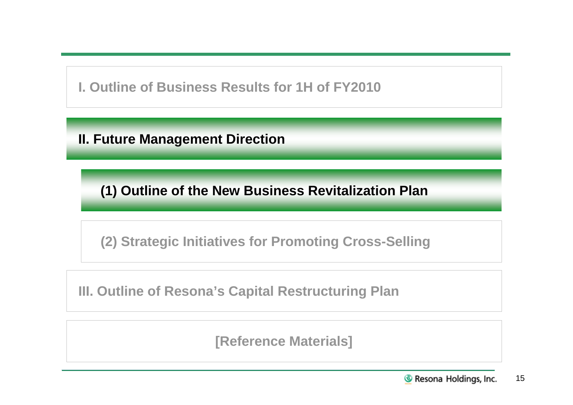**I. Outline of Business Results for 1H of FY2010**

**II. Future Management Direction**

**(1) Outline of the New Business Revitalization Plan**

**(2) Strategic Initiatives for Promoting Cross-Selling**

**III. Outline of Resona's Capital Restructuring Plan**

**[Reference Materials]**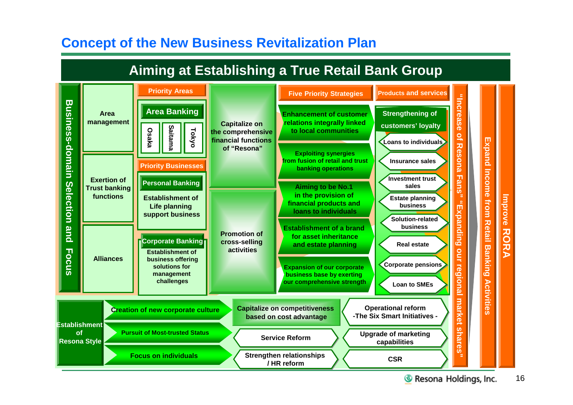# **Concept of the New Business Revitalization Plan**

# **Aiming at Establishing a True Retail Bank Group**



16 **& Resona Holdings, Inc.**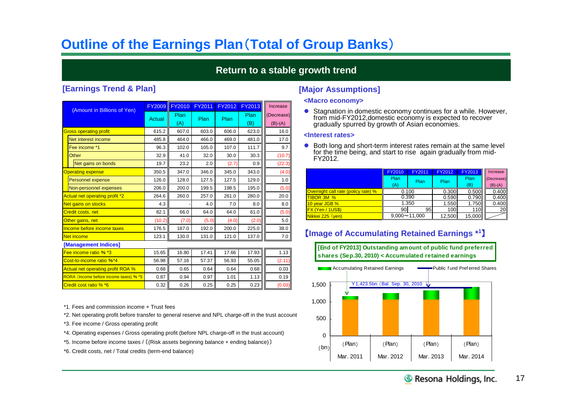# **Outline of the Earnings Plan**(**Total of Group Banks**)

## **Return to a stable growth trend**

### **[Earnings Trend & Plan] [Major Assumptions]**

| (Amount in Billions of Yen)              | <b>FY2009</b> | <b>FY2010</b> | <b>FY2011</b> | FY2012 | <b>FY2013</b> | Increase                |
|------------------------------------------|---------------|---------------|---------------|--------|---------------|-------------------------|
|                                          | Actual        | Plan<br>(A)   | Plan          | Plan   | Plan<br>(B)   | (Decrease)<br>$(B)-(A)$ |
| <b>Gross operating profit</b>            | 615.2         | 607.0         | 603.0         | 606.0  | 623.0         | 16.0                    |
| Net interest income                      | 485.8         | 464.0         | 466.0         | 469.0  | 481.0         | 17.0                    |
| Fee income *1                            | 96.3          | 102.0         | 105.0         | 107.0  | 111.7         | 9.7                     |
| Other                                    | 32.9          | 41.0          | 32.0          | 30.0   | 30.3          | (10.7)                  |
| Net gains on bonds                       | 19.7          | 23.2          | 2.0           | (2.7)  | 0.9           | (22.3)                  |
| <b>Operating expense</b>                 | 350.5         | 347.0         | 346.0         | 345.0  | 343.0         | (4.0)                   |
| <b>Personnel expense</b>                 | 126.0         | 128.0         | 127.5         | 127.5  | 129.0         | 1.0                     |
| Non-personnel expenses                   | 206.0         | 200.0         | 199.5         | 198.5  | 195.0         | (5.0)                   |
| Actual net operating profit *2           | 264.6         | 260.0         | 257.0         | 261.0  | 280.0         | 20.0                    |
| Net gains on stocks                      | 4.3           |               | 4.0           | 7.0    | 8.0           | 8.0                     |
| <b>Credit costs, net</b>                 | 82.1          | 66.0          | 64.0          | 64.0   | 61.0          | (5.0)                   |
| Other gains, net                         | (10.2)        | (7.0)         | (5.0)         | (4.0)  | (2.0)         | 5.0                     |
| Income before income taxes               | 176.5         | 187.0         | 192.0         | 200.0  | 225.0         | 38.0                    |
| <b>Net income</b>                        | 123.1         | 130.0         | 131.0         | 121.0  | 137.0         | 7.0                     |
| [Management Indices]                     |               |               |               |        |               |                         |
| Fee income ratio % *3                    | 15.65         | 16.80         | 17.41         | 17.66  | 17.93         | 1.13                    |
| Cost-to-income ratio %*4                 | 56.98         | 57.16         | 57.37         | 56.93  | 55.05         | (2.11)                  |
| <b>Actual net operating profit ROA %</b> | 0.68          | 0.65          | 0.64          | 0.64   | 0.68          | 0.03                    |
| RORA (Income before income taxes) % *5   | 0.87          | 0.94          | 0.97          | 1.01   | 1.13          | 0.19                    |
| Credit cost ratio % *6                   | 0.32          | 0.26          | 0.25          | 0.25   | 0.23          | (0.03)                  |

- \*1. Fees and commission income + Trust fees
- \*2. Net operating profit before transfer to general reserve and NPL charge-off in the trust account
- \*3. Fee income / Gross operating profit
- \*4. Operating expenses / Gross operating profit (before NPL charge-off in the trust account)
- \*5. Income before income taxes / 〔(Risk assets beginning balance + ending balance)〕
- \*6. Credit costs, net / Total credits (term-end balance)

### **<Macro economy>**

● Stagnation in domestic economy continues for a while. However, from mid-FY2012,domestic economy is expected to recover gradually spurred by growth of Asian economies.

### **<Interest rates>**

● Both long and short-term interest rates remain at the same level for the time being, and start to rise again gradually from mid-FY2012.

|                                            | <b>FY2010</b> | FY2011              | FY2012 | <b>FY2013</b> | Increase   |
|--------------------------------------------|---------------|---------------------|--------|---------------|------------|
|                                            | Plan          | Plan                | Plan   | Plan          | (Decrease) |
|                                            | (A)           |                     |        | (B)           | $(B)-(A)$  |
| <b>Overnight call rate (policy rate) %</b> |               | 0.100               | 0.300  | 0.500         | 0.400      |
| <b>TIBOR 3M %</b>                          |               | 0.390               | 0.590  | 0.790         | 0.400      |
| 10 year JGB %                              |               | 1.350               | 1.550  | 1.750         | 0.400      |
| FX (Yen / 1US\$)                           | 90            | 95                  | 100    | 110           | <b>20</b>  |
| Nikkei 225 (yen)                           |               | $9,000 \sim 11,000$ | 12,500 | 15,000        |            |

## 【**Image of Accumulating Retained Earnings \* 1**】



**[End of FY2013] Outstanding amount of public fund preferred shares (Sep.30, 2010) < Accumulated retained earnings**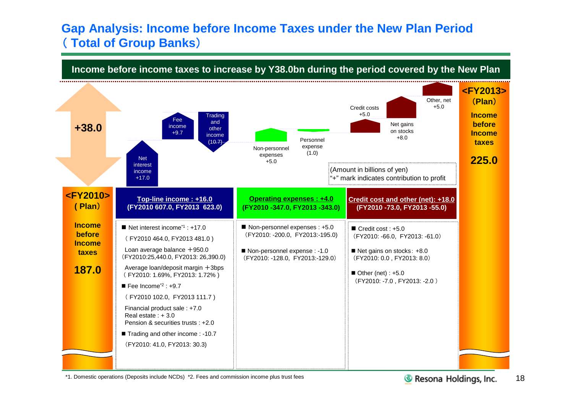# **Gap Analysis: Income before Income Taxes under the New Plan Period** ( **Total of Group Banks**)

**Income before income taxes to increase by Y38.0bn during the period covered by the New Plan**



\*1. Domestic operations (Deposits include NCDs) \*2. Fees and commission income plus trust fees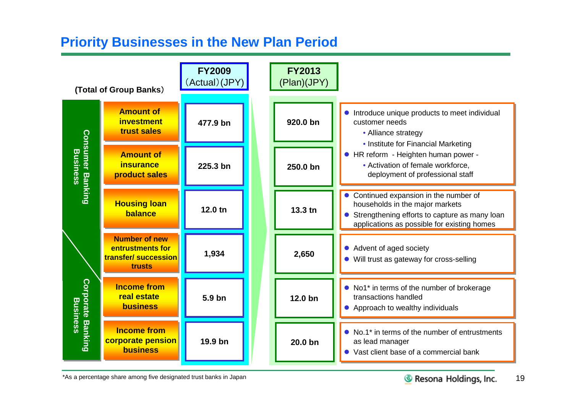# **Priority Businesses in the New Plan Period**



\*As a percentage share among five designated trust banks in Japan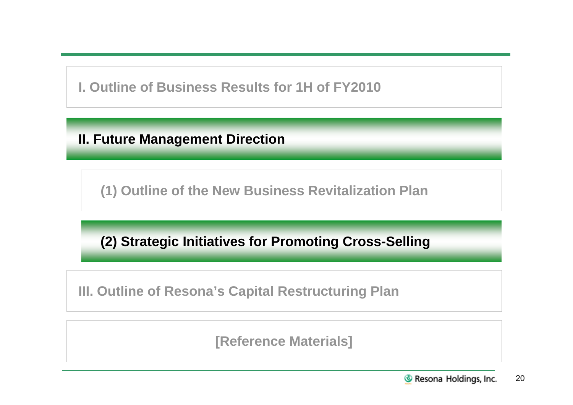**I. Outline of Business Results for 1H of FY2010**

**II. Future Management Direction**

**(1) Outline of the New Business Revitalization Plan**

**(2) Strategic Initiatives for Promoting Cross-Selling**

**III. Outline of Resona's Capital Restructuring Plan**

**[Reference Materials]**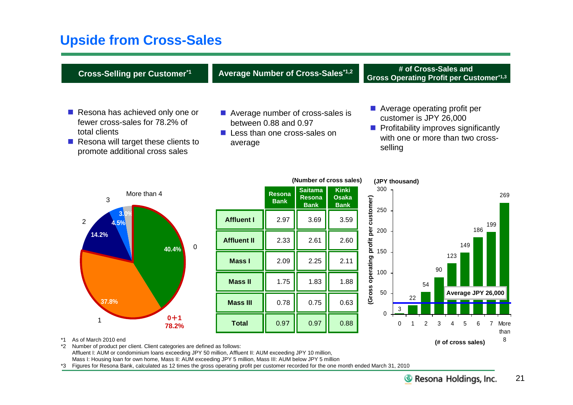# **Upside from Cross-Sales**

| <b>Cross-Selling per Customer*1</b>                                                                                                                         | Average Number of Cross-Sales*1,2                                                                      |                              |                                                |                                             |                                                                                                                                                                | # of Cross-Sales and<br><b>Gross Operating Profit per Customer*1,3</b> |  |  |
|-------------------------------------------------------------------------------------------------------------------------------------------------------------|--------------------------------------------------------------------------------------------------------|------------------------------|------------------------------------------------|---------------------------------------------|----------------------------------------------------------------------------------------------------------------------------------------------------------------|------------------------------------------------------------------------|--|--|
| Resona has achieved only one or<br>fewer cross-sales for 78.2% of<br>total clients<br>Resona will target these clients to<br>promote additional cross sales | ■ Average number of cross-sales is<br>between 0.88 and 0.97<br>Less than one cross-sales on<br>average |                              |                                                |                                             | ■ Average operating profit per<br>customer is JPY 26,000<br>$\blacksquare$ Profitability improves significantly<br>with one or more than two cross-<br>selling |                                                                        |  |  |
|                                                                                                                                                             |                                                                                                        |                              |                                                | (Number of cross sales)                     | (JPY thousand)                                                                                                                                                 |                                                                        |  |  |
| More than 4<br>3                                                                                                                                            |                                                                                                        | <b>Resona</b><br><b>Bank</b> | <b>Saitama</b><br><b>Resona</b><br><b>Bank</b> | <b>Kinki</b><br><b>Osaka</b><br><b>Bank</b> | 300                                                                                                                                                            | 269                                                                    |  |  |
| $\overline{2}$<br>4.5%                                                                                                                                      | <b>Affluent I</b>                                                                                      | 2.97                         | 3.69                                           | 3.59                                        | customer)<br>250                                                                                                                                               | 199                                                                    |  |  |
| 14.2%<br>$\pmb{0}$<br>40.4%                                                                                                                                 | <b>Affluent II</b>                                                                                     | 2.33                         | 2.61                                           | 2.60                                        | Gross operating profit per<br>200                                                                                                                              | 186<br>149                                                             |  |  |
|                                                                                                                                                             | <b>Mass I</b>                                                                                          | 2.09                         | 2.25                                           | 2.11                                        | 150                                                                                                                                                            | 123<br>90                                                              |  |  |
|                                                                                                                                                             | <b>Mass II</b>                                                                                         | 1.75                         | 1.83                                           | 1.88                                        | 100                                                                                                                                                            | 54                                                                     |  |  |
| 37.8%                                                                                                                                                       | <b>Mass III</b>                                                                                        | 0.78                         | 0.75                                           | 0.63                                        | 50<br>3                                                                                                                                                        | Average JPY 26,000<br>22                                               |  |  |
| $0 + 1$<br>1<br>78.2%                                                                                                                                       | <b>Total</b>                                                                                           | 0.97                         | 0.97                                           | 0.88                                        | $\Omega$<br>$\Omega$                                                                                                                                           | $\overline{2}$<br>5<br>6<br>More<br>3<br>than                          |  |  |
| As of March 2010 end<br>Number of product per client. Client categories are defined as follows:<br>*2                                                       |                                                                                                        |                              |                                                |                                             |                                                                                                                                                                | 8<br>(# of cross sales)                                                |  |  |

Affluent I: AUM or condominium loans exceeding JPY 50 million, Affluent II: AUM exceeding JPY 10 million, Mass I: Housing loan for own home, Mass II: AUM exceeding JPY 5 million, Mass III: AUM below JPY 5 million

\*3 Figures for Resona Bank, calculated as 12 times the gross operating profit per customer recorded for the one month ended March 31, 2010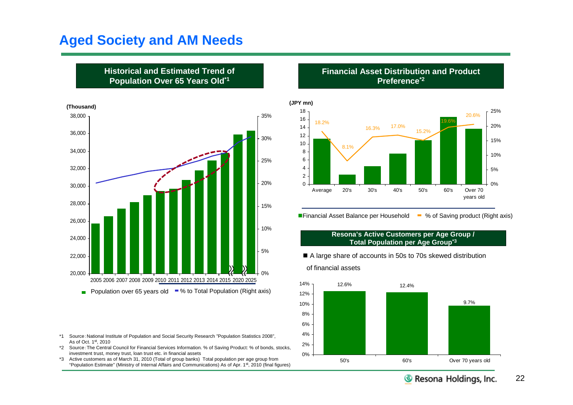# **Aged Society and AM Needs**

**Historical and Estimated Trend of Population Over 65 Years Old\*1**



- \*1 Source:National Institute of Population and Social Security Research "Population Statistics 2008", As of Oct. 1st, 2010
- \*2 Source:The Central Council for Financial Services Information. % of Saving Product: % of bonds, stocks, investment trust, money trust, loan trust etc. in financial assets
- \*3 Active customers as of March 31, 2010 (Total of group banks) Total population per age group from "Population Estimate" (Ministry of Internal Affairs and Communications) As of Apr. 1st, 2010 (final figures)

**Financial Asset Distribution and Product Preference\*2**



**Financial Asset Balance per Household**  $\blacksquare$  **% of Saving product (Right axis)** 

### **Resona's Active Customers per Age Group / Total Population per Age Group\*3**

A large share of accounts in 50s to 70s skewed distribution

### of financial assets

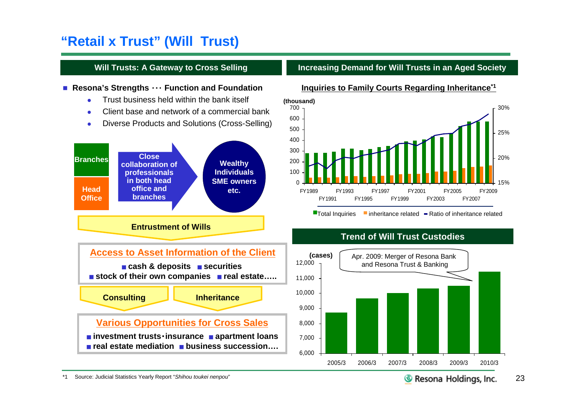# **"Retail x Trust" (Will Trust)**

## **Will Trusts: A Gateway to Cross Selling**

### ■ Resona's Strengths ··· Function and Foundation

- **Trust business held within the bank itself**
- Client base and network of a commercial bank
- Diverse Products and Solutions (Cross-Selling)



## **Increasing Demand for Will Trusts in an Aged Society**



### $\blacksquare$ Total Inquiries  $\blacksquare$  inheritance related  $\blacksquare$  Ratio of inheritance related

## **Trend of Will Trust Custodies**

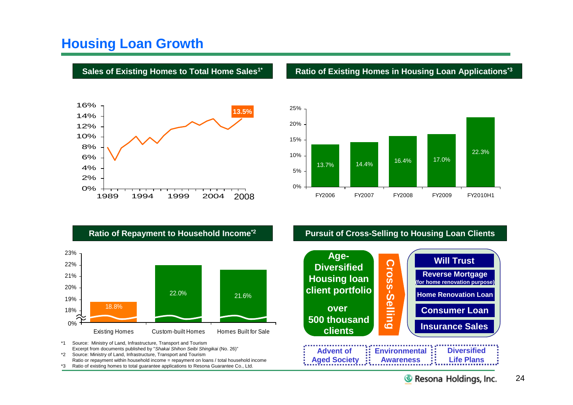# **Housing Loan Growth**



### **Sales of Existing Homes to Total Home Sales1\* Ratio of Existing Homes in Housing Loan Applications\*3**





\*1 Source: Ministry of Land, Infrastructure, Transport and Tourism Excerpt from documents published by "*Shakai Shihon Seibi Shingikai* (No. 26)"

\*2 Source: Ministry of Land, Infrastructure, Transport and Tourism Ratio or repayment within household income = repayment on loans / total household income \*3 Ratio of existing homes to total guarantee applications to Resona Guarantee Co., Ltd.

## **Ratio of Repayment to Household Income\*2 Pursuit of Cross-Selling to Housing Loan Clients**

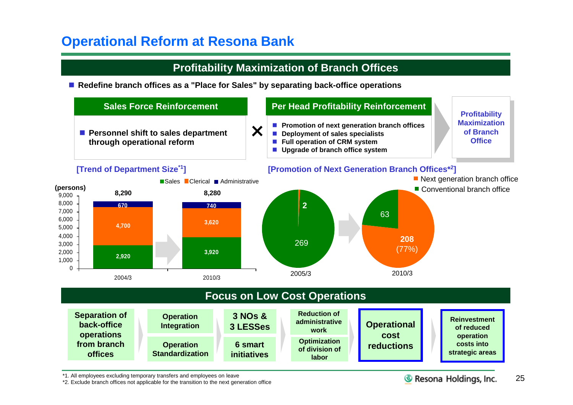# **Operational Reform at Resona Bank**

## **Profitability Maximization of Branch Offices**

■ Redefine branch offices as a "Place for Sales" by separating back-office operations



\*1. All employees excluding temporary transfers and employees on leave

\*2. Exclude branch offices not applicable for the transition to the next generation office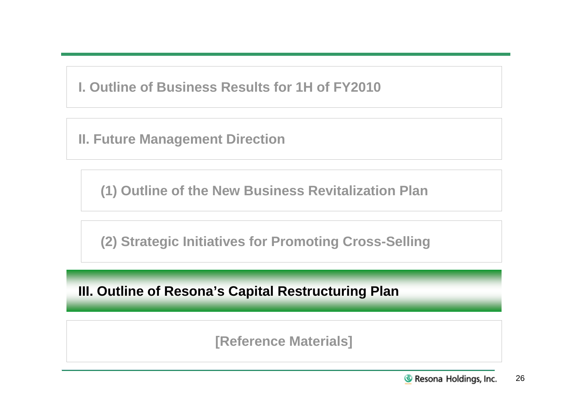**I. Outline of Business Results for 1H of FY2010**

**II. Future Management Direction**

**(1) Outline of the New Business Revitalization Plan**

**(2) Strategic Initiatives for Promoting Cross-Selling**

**III. Outline of Resona's Capital Restructuring Plan**

**[Reference Materials]**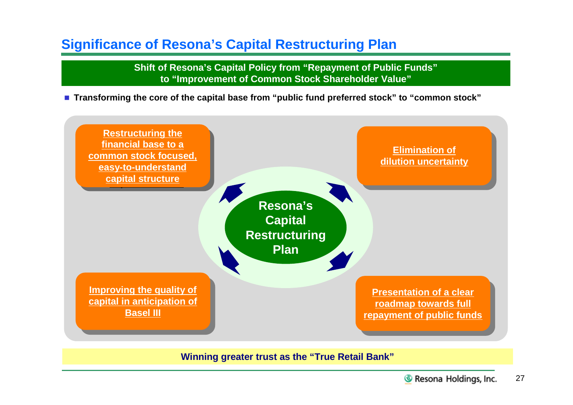# **Significance of Resona's Capital Restructuring Plan**

**Shift of Resona's Capital Policy from "Repayment of Public Funds" to "Improvement of Common Stock Shareholder Value"**

**Transforming the core of the capital base from "public fund preferred stock" to "common stock"**



**Winning greater trust as the "True Retail Bank"**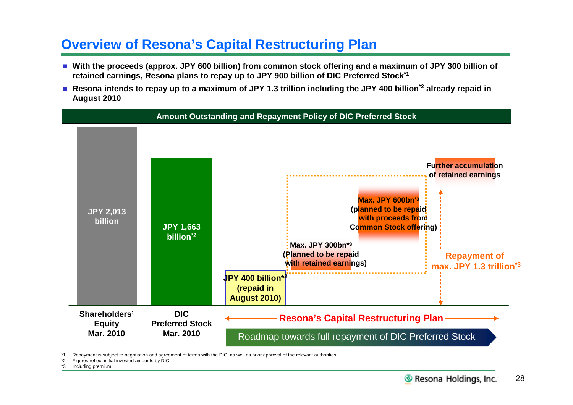# **Overview of Resona's Capital Restructuring Plan**

- With the proceeds (approx. JPY 600 billion) from common stock offering and a maximum of JPY 300 billion of **retained earnings, Resona plans to repay up to JPY 900 billion of DIC Preferred Stock\*1**
- **Resona intends to repay up to a maximum of JPY 1.3 trillion including the JPY 400 billion\*2 already repaid in August 2010**



Repayment is subject to negotiation and agreement of terms with the DIC, as well as prior approval of the relevant authorities

\*2 Figures reflect initial invested amounts by DIC

Including premium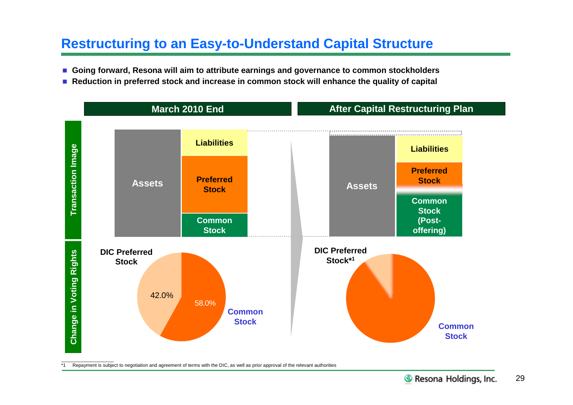# **Restructuring to an Easy-to-Understand Capital Structure**

- Going forward, Resona will aim to attribute earnings and governance to common stockholders
- Reduction in preferred stock and increase in common stock will enhance the quality of capital



\*1 Repayment is subject to negotiation and agreement of terms with the DIC, as well as prior approval of the relevant authorities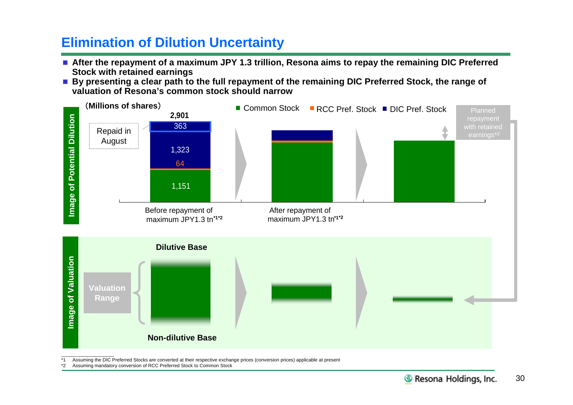# **Elimination of Dilution Uncertainty**

- **After the repayment of a maximum JPY 1.3 trillion, Resona aims to repay the remaining DIC Preferred Stock with retained earnings**
- By presenting a clear path to the full repayment of the remaining DIC Preferred Stock, the range of **valuation of Resona's common stock should narrow**



\*1 Assuming the DIC Preferred Stocks are converted at their respective exchange prices (conversion prices) applicable at present

\*2 Assuming mandatory conversion of RCC Preferred Stock to Common Stock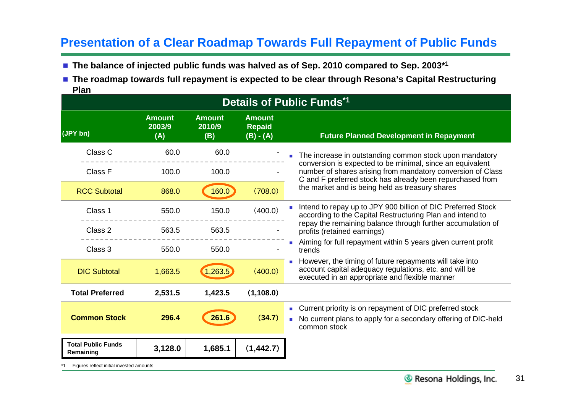# **Presentation of a Clear Roadmap Towards Full Repayment of Public Funds**

- The balance of injected public funds was halved as of Sep. 2010 compared to Sep. 2003<sup>\*1</sup>
- The roadmap towards full repayment is expected to be clear through Resona's Capital Restructuring **Plan**

|                                          |                                |                                |                                               | <b>Details of Public Funds*1</b>                                                                                                                                                      |
|------------------------------------------|--------------------------------|--------------------------------|-----------------------------------------------|---------------------------------------------------------------------------------------------------------------------------------------------------------------------------------------|
| (JPY bn)                                 | <b>Amount</b><br>2003/9<br>(A) | <b>Amount</b><br>2010/9<br>(B) | <b>Amount</b><br><b>Repaid</b><br>$(B) - (A)$ | <b>Future Planned Development in Repayment</b>                                                                                                                                        |
| Class C                                  | 60.0                           | 60.0                           |                                               | The increase in outstanding common stock upon mandatory                                                                                                                               |
| Class F                                  | 100.0                          | 100.0                          |                                               | conversion is expected to be minimal, since an equivalent<br>number of shares arising from mandatory conversion of Class<br>C and F preferred stock has already been repurchased from |
| <b>RCC Subtotal</b>                      | 868.0                          | 160.0                          | (708.0)                                       | the market and is being held as treasury shares                                                                                                                                       |
| Class 1                                  | 550.0                          | 150.0                          | (400.0)                                       | Intend to repay up to JPY 900 billion of DIC Preferred Stock<br>according to the Capital Restructuring Plan and intend to                                                             |
| Class 2                                  | 563.5                          | 563.5                          |                                               | repay the remaining balance through further accumulation of<br>profits (retained earnings)                                                                                            |
| Class 3                                  | 550.0                          | 550.0                          |                                               | Aiming for full repayment within 5 years given current profit<br>trends                                                                                                               |
| <b>DIC Subtotal</b>                      | 1,663.5                        | 1,263.5                        | (400.0)                                       | However, the timing of future repayments will take into<br>account capital adequacy regulations, etc. and will be<br>executed in an appropriate and flexible manner                   |
| <b>Total Preferred</b>                   | 2,531.5                        | 1,423.5                        | (1,108.0)                                     |                                                                                                                                                                                       |
| <b>Common Stock</b>                      | 296.4                          | 261.6                          | (34.7)                                        | • Current priority is on repayment of DIC preferred stock<br>• No current plans to apply for a secondary offering of DIC-held<br>common stock                                         |
| <b>Total Public Funds</b><br>Remaining   | 3,128.0                        | 1,685.1                        | (1,442.7)                                     |                                                                                                                                                                                       |
| Figures reflect initial invested amounts |                                |                                |                                               |                                                                                                                                                                                       |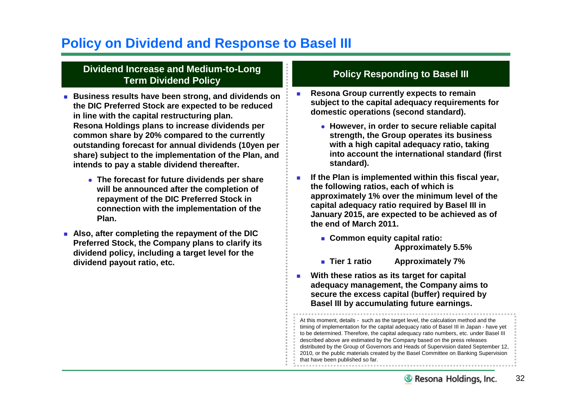# **Policy on Dividend and Response to Basel III**

## **Dividend Increase and Medium-to-Long Term Dividend Policy**

- **Business results have been strong, and dividends on the DIC Preferred Stock are expected to be reduced in line with the capital restructuring plan. Resona Holdings plans to increase dividends per common share by 20% compared to the currently outstanding forecast for annual dividends (10yen per share) subject to the implementation of the Plan, and intends to pay a stable dividend thereafter.**
	- **The forecast for future dividends per share will be announced after the completion of repayment of the DIC Preferred Stock in connection with the implementation of the Plan.**
- **Also, after completing the repayment of the DIC Preferred Stock, the Company plans to clarify its dividend policy, including a target level for the dividend payout ratio, etc.**

## **Policy Responding to Basel III**

- **Resona Group currently expects to remain subject to the capital adequacy requirements for domestic operations (second standard).**
	- **However, in order to secure reliable capital strength, the Group operates its business with a high capital adequacy ratio, taking into account the international standard (first standard).**
- **If the Plan is implemented within this fiscal year, the following ratios, each of which is approximately 1% over the minimum level of the capital adequacy ratio required by Basel III in January 2015, are expected to be achieved as of the end of March 2011.**
	- **Common equity capital ratio: Approximately 5.5%**
	- **Tier 1 ratio Approximately 7%**
- **With these ratios as its target for capital adequacy management, the Company aims to secure the excess capital (buffer) required by Basel III by accumulating future earnings.**

At this moment, details - such as the target level, the calculation method and the timing of implementation for the capital adequacy ratio of Basel III in Japan - have yet to be determined. Therefore, the capital adequacy ratio numbers, etc. under Basel III described above are estimated by the Company based on the press releases distributed by the Group of Governors and Heads of Supervision dated September 12, 2010, or the public materials created by the Basel Committee on Banking Supervision that have been published so far.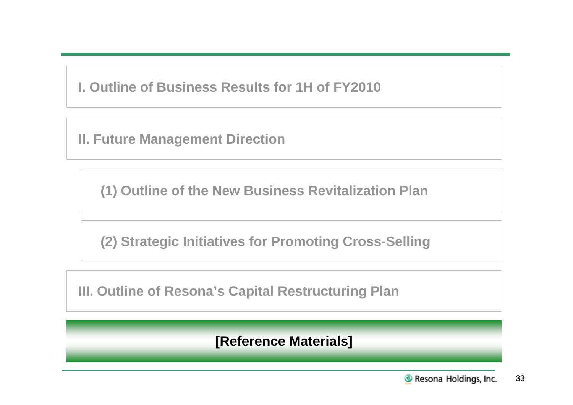**I. Outline of Business Results for 1H of FY2010**

**II. Future Management Direction**

**(1) Outline of the New Business Revitalization Plan**

**(2) Strategic Initiatives for Promoting Cross-Selling**

**III. Outline of Resona's Capital Restructuring Plan**

**[Reference Materials]**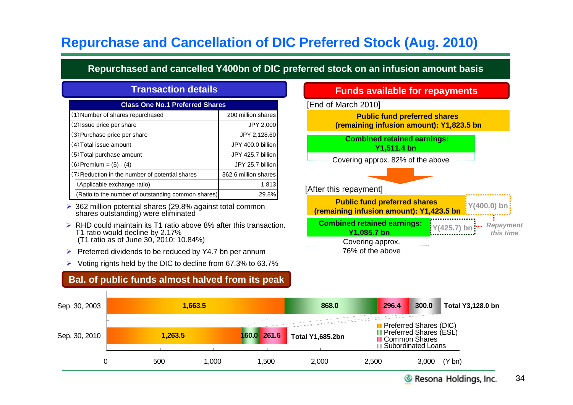# **Repurchase and Cancellation of DIC Preferred Stock (Aug. 2010)**

**Repurchased and cancelled Y400bn of DIC preferred stock on an infusion amount basis**

| <b>Class One No.1 Preferred Shares</b>             |                      |  |  |  |  |  |  |  |
|----------------------------------------------------|----------------------|--|--|--|--|--|--|--|
| (1) Number of shares repurchased                   | 200 million shares   |  |  |  |  |  |  |  |
| (2) Issue price per share                          | JPY 2,000            |  |  |  |  |  |  |  |
| (3) Purchase price per share                       | JPY 2,128.60         |  |  |  |  |  |  |  |
| (4) Total issue amount                             | JPY 400.0 billion    |  |  |  |  |  |  |  |
| (5) Total purchase amount                          | JPY 425.7 billion    |  |  |  |  |  |  |  |
| $(6)$ Premium = $(5) - (4)$                        | JPY 25.7 billion     |  |  |  |  |  |  |  |
| (7) Reduction in the number of potential shares    | 362.6 million shares |  |  |  |  |  |  |  |
| (Applicable exchange ratio)                        | 1.813                |  |  |  |  |  |  |  |
| (Ratio to the number of outstanding common shares) | 29.8%                |  |  |  |  |  |  |  |

- $\geq$  362 million potential shares (29.8% against total common shares outstanding) were eliminated
- ▶ RHD could maintain its T1 ratio above 8% after this transaction. T1 ratio would decline by 2.17% (T1 ratio as of June 30, 2010: 10.84%)
- $\triangleright$  Preferred dividends to be reduced by Y4.7 bn per annum
- $\triangleright$  Voting rights held by the DIC to decline from 67.3% to 63.7%

## **Bal. of public funds almost halved from its peak**

## **Transaction details Funds available for repayments**

[End of March 2010]

**Public fund preferred shares (remaining infusion amount): Y1,823.5 bn**

**Combined retained earnings: Y1,511.4 bn**

Covering approx. 82% of the above



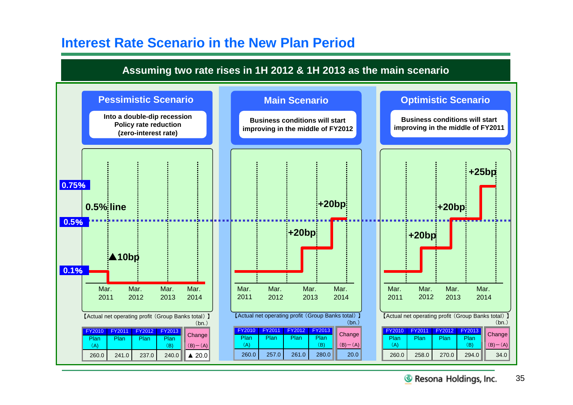# **Interest Rate Scenario in the New Plan Period**

## **Assuming two rate rises in 1H 2012 & 1H 2013 as the main scenario**

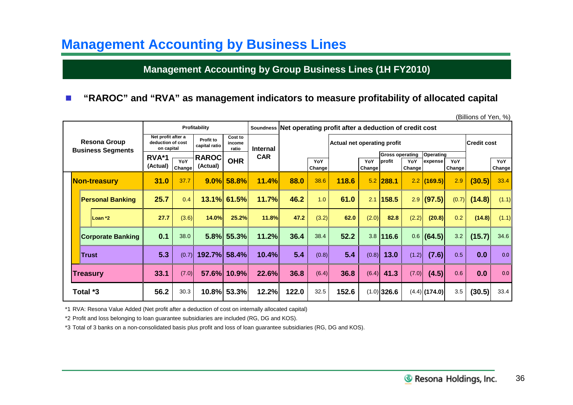# **Management Accounting by Business Lines**

## **Management Accounting by Group Business Lines (1H FY2010)**

## **"RAROC" and "RVA" as management indicators to measure profitability of allocated capital**

|  |                                                 |                                                       |               |                            |                            |                 |                                                                 |               |                             |               |                                  |                      |                      |               | (Billions of Yen, %) |               |
|--|-------------------------------------------------|-------------------------------------------------------|---------------|----------------------------|----------------------------|-----------------|-----------------------------------------------------------------|---------------|-----------------------------|---------------|----------------------------------|----------------------|----------------------|---------------|----------------------|---------------|
|  |                                                 |                                                       |               | Profitability              |                            |                 | Soundness Net operating profit after a deduction of credit cost |               |                             |               |                                  |                      |                      |               |                      |               |
|  | <b>Resona Group</b><br><b>Business Segments</b> | Net profit after a<br>deduction of cost<br>on capital |               | Profit to<br>capital ratio | Cost to<br>income<br>ratio | <b>Internal</b> |                                                                 |               | Actual net operating profit |               |                                  |                      |                      |               | Credit cost          |               |
|  |                                                 | RVA*1<br>(Actual)                                     | YoY<br>Change | <b>RAROC</b><br>(Actual)   | <b>OHR</b>                 | <b>CAR</b>      |                                                                 | YoY<br>Change |                             | YoY<br>Change | <b>Gross operating</b><br>profit | YoY<br><b>Change</b> | Operating<br>expense | YoY<br>Change |                      | YoY<br>Change |
|  | Non-treasury                                    | 31.0                                                  | 37.7          | 9.0%                       | 58.8%                      | 11.4%           | 88.0                                                            | 38.6          | 118.6                       | 5.2           | 288.1                            |                      | $2.2$ (169.5)        | 2.9           | (30.5)               | 33.4          |
|  | <b>Personal Banking</b>                         | 25.7                                                  | 0.4           | 13.1%                      | 61.5%                      | 11.7%           | 46.2                                                            | 1.0           | 61.0                        | 2.1           | 158.5                            | 2.9                  | (97.5)               | (0.7)         | (14.8)               | (1.1)         |
|  | Loan *2                                         | 27.7                                                  | (3.6)         | 14.0%                      | 25.2%                      | 11.8%           | 47.2                                                            | (3.2)         | 62.0                        | (2.0)         | 82.8                             | (2.2)                | (20.8)               | 0.2           | (14.8)               | (1.1)         |
|  | <b>Corporate Banking</b>                        | 0.1                                                   | 38.0          | 5.8%                       | 55.3%                      | 11.2%           | 36.4                                                            | 38.4          | 52.2                        |               | $3.8$   116.6                    | 0.6                  | (64.5)               | 3.2           | (15.7)               | 34.6          |
|  | <b>Trust</b>                                    | 5.3                                                   | (0.7)         | 192.7%                     | 58.4%                      | 10.4%           | 5.4                                                             | (0.8)         | 5.4                         | (0.8)         | $13.0$                           | (1.2)                | (7.6)                | 0.5           | 0.0                  | 0.0           |
|  | Treasury                                        | 33.1                                                  | (7.0)         | 57.6%                      | 10.9%                      | 22.6%           | 36.8                                                            | (6.4)         | 36.8                        | (6.4)         | 41.3                             | (7.0)                | (4.5)                | 0.6           | 0.0                  | 0.0           |
|  | Total *3                                        | 56.2                                                  | 30.3          | 10.8%                      | 53.3%                      | 12.2%           | 122.0                                                           | 32.5          | 152.6                       |               | $(1.0)$ 326.6                    |                      | $(4.4)$ (174.0)      | 3.5           | (30.5)               | 33.4          |

(Billions of Yen, %)

\*1 RVA: Resona Value Added (Net profit after a deduction of cost on internally allocated capital)

\*2 Profit and loss belonging to loan guarantee subsidiaries are included (RG, DG and KOS).

\*3 Total of 3 banks on a non-consolidated basis plus profit and loss of loan guarantee subsidiaries (RG, DG and KOS).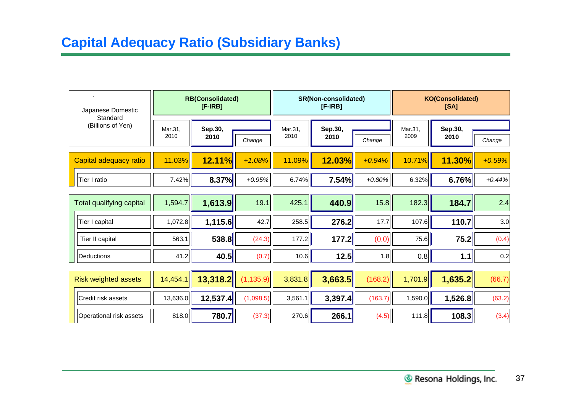# **Capital Adequacy Ratio (Subsidiary Banks)**

| Japanese Domestic<br>Standard |  |                 | <b>RB(Consolidated)</b><br>$[F-IRB]$ |            |                 | SR(Non-consolidated)<br>$[F-IRB]$ |          | <b>KO(Consolidated)</b><br>[SA] |                 |          |  |
|-------------------------------|--|-----------------|--------------------------------------|------------|-----------------|-----------------------------------|----------|---------------------------------|-----------------|----------|--|
| (Billions of Yen)             |  | Mar.31,<br>2010 | Sep.30,<br>2010                      | Change     | Mar.31,<br>2010 | Sep.30,<br>2010                   | Change   | Mar.31,<br>2009                 | Sep.30,<br>2010 | Change   |  |
| Capital adequacy ratio        |  | 11.03%          | 12.11%                               | $+1.08%$   | 11.09%          | 12.03%                            | $+0.94%$ | 10.71%                          | 11.30%          | $+0.59%$ |  |
| Tier I ratio                  |  | 7.42%           | 8.37%                                | $+0.95%$   | 6.74%           | 7.54%                             | $+0.80%$ | 6.32%                           | 6.76%           | $+0.44%$ |  |
| Total qualifying capital      |  | 1,594.7         | 1,613.9                              | 19.1       | 425.1           | 440.9                             | 15.8     | 182.3                           | 184.7           | 2.4      |  |
| Tier I capital                |  | 1,072.8         | 1,115.6                              | 42.7       | 258.5           | 276.2                             | 17.7     | 107.6                           | 110.7           | 3.0      |  |
| Tier II capital               |  | 563.1           | 538.8                                | (24.3)     | 177.2           | 177.2                             | (0.0)    | 75.6                            | 75.2            | (0.4)    |  |
| Deductions                    |  | 41.2            | 40.5                                 | (0.7)      | 10.6            | 12.5                              | 1.8      | 0.8                             | $1.1$           | 0.2      |  |
| <b>Risk weighted assets</b>   |  | 14,454.1        | 13,318.2                             | (1, 135.9) | 3,831.8         | 3,663.5                           | (168.2)  | 1,701.9                         | 1,635.2         | (66.7)   |  |
| Credit risk assets            |  | 13,636.0        | 12,537.4                             | (1,098.5)  | 3,561.1         | 3,397.4                           | (163.7)  | 1,590.0                         | 1,526.8         | (63.2)   |  |
| Operational risk assets       |  | 818.0           | 780.7                                | (37.3)     | 270.6           | 266.1                             | (4.5)    | 111.8                           | 108.3           | (3.4)    |  |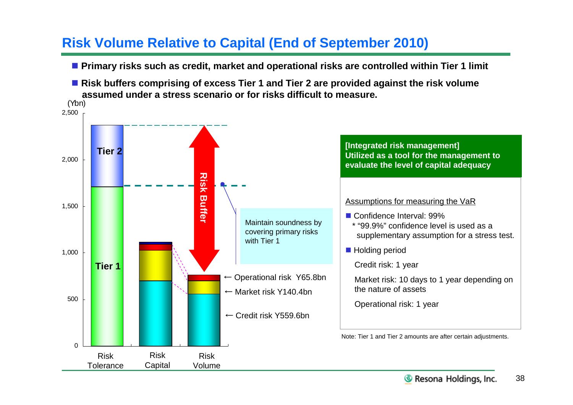# **Risk Volume Relative to Capital (End of September 2010)**

- **Primary risks such as credit, market and operational risks are controlled within Tier 1 limit**
- Risk buffers comprising of excess Tier 1 and Tier 2 are provided against the risk volume **assumed under a stress scenario or for risks difficult to measure.**

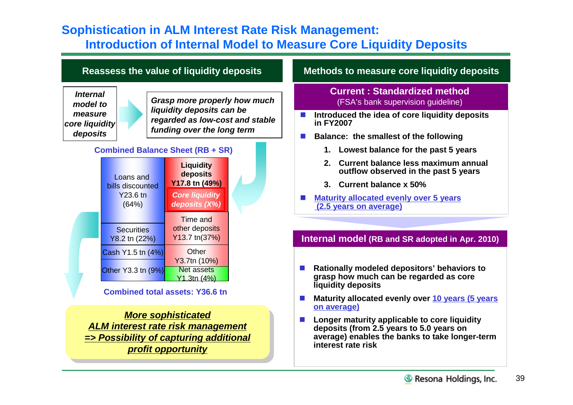# **Sophistication in ALM Interest Rate Risk Management: Introduction of Internal Model to Measure Core Liquidity Deposits**



*More sophisticated ALM interest rate risk management ALM interest rate risk management => Possibility of capturing additional => Possibility of capturing additional profit opportunity*

## **Internal model (RB and SR adopted in Apr. 2010)**

- **Maturity allocated evenly over 10 years (5 years on average)**
- Longer maturity applicable to core liquidity **deposits (from 2.5 years to 5.0 years on average) enables the banks to take longer-term interest rate risk**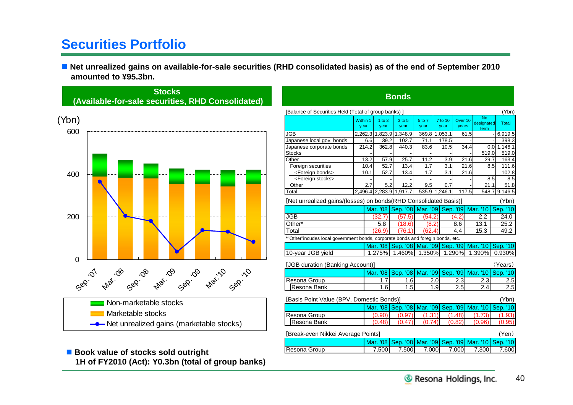# **Securities Portfolio**

■ Net unrealized gains on available-for-sale securities (RHD consolidated basis) as of the end of September 2010 **amounted to ¥95.3bn.**



<sup>■</sup> Book value of stocks sold outright **1H of FY2010 (Act): Y0.3bn (total of group banks)**

| <b>Bonds</b>                                                                    |                                             |       |                    |                         |                |               |                 |                             |       |                          |     |          |
|---------------------------------------------------------------------------------|---------------------------------------------|-------|--------------------|-------------------------|----------------|---------------|-----------------|-----------------------------|-------|--------------------------|-----|----------|
| [Balance of Securities Held (Total of group banks) ]                            |                                             |       |                    |                         |                |               |                 |                             |       |                          |     | (Ybn)    |
|                                                                                 | Within 1<br>year                            |       | $1$ to $3$<br>year | $3$ to $5$<br>year      | 5 to 7<br>year |               | 7 to 10<br>year | Over <sub>10</sub><br>years |       | No<br>designated<br>term |     | Total    |
| JGB                                                                             |                                             |       |                    | 2,262.3 1,823.9 1,348.9 |                | 369.8 1,053.1 |                 | 61.5                        |       |                          |     | 6,919.5  |
| Japanese local gov. bonds                                                       |                                             | 6.6   | 39.2               | 102.7                   | 71.1           |               | 178.5           |                             |       |                          |     | 398.3    |
| Japanese corporate bonds                                                        |                                             | 214.2 | 362.8              | 440.3                   | 83.6           |               | 10.5            |                             | 34.4  |                          | 0.0 | 1,146.1  |
| <b>Stocks</b>                                                                   |                                             |       |                    |                         |                |               |                 |                             |       | 519.0                    |     | 519.0    |
| Other                                                                           |                                             | 13.2  | 57.9               | 25.7                    | 11.2           |               | 3.9             |                             | 21.6  | 29.7                     |     | 163.4    |
| Foreign securities                                                              |                                             | 10.4  | 52.7               | 13.4                    | 1.7            |               | 3.1             |                             | 21.6  |                          | 8.5 | 111.6    |
| <foreign bonds=""></foreign>                                                    |                                             | 10.1  | 52.7               | 13.4                    | 1.7            |               | 3.1             |                             | 21.6  |                          |     | 102.8    |
| <foreign stocks=""></foreign>                                                   |                                             |       |                    |                         |                |               |                 |                             |       |                          | 8.5 | 8.5      |
| Other                                                                           |                                             | 2.7   | 5.2                | 12.2                    | 9.5            |               | 0.7             |                             |       | 21.1                     |     | 51.8     |
| Total                                                                           |                                             |       |                    | 2.496.4 2.283.9 1.917.7 | 535.9 1.246.1  |               |                 |                             | 117.5 | 548.7                    |     | 9,146.5  |
| [Net unrealized gains/(losses) on bonds(RHD Consolidated Basis)]<br>(Ybn)       |                                             |       |                    |                         |                |               |                 |                             |       |                          |     |          |
|                                                                                 |                                             |       | <b>Mar. '08</b>    | Sep. '08                | Mar. '09       |               | Sep. '09        |                             |       | Mar. '10                 |     | Sep. '10 |
| JGB                                                                             |                                             |       | (32.7)             | (57.5)                  | (54.2)         |               |                 | (4.2)                       |       | 2.2                      |     | 24.0     |
| Other*                                                                          |                                             |       | 5.8                | (18.6)                  | (8.2)          |               |                 | 8.6                         |       | 13.1                     |     | 25.2     |
| Total                                                                           |                                             |       | (26.9)             | (76.1)                  | (62.4)         |               |                 | 4.4                         |       | 15.3                     |     | 49.2     |
| *"Other"incudes local government bonds, corporate bonds and foregin bonds, etc. |                                             |       |                    |                         |                |               |                 |                             |       |                          |     |          |
|                                                                                 |                                             |       | Mar. '08           | Sep. '08 Mar. '09       |                |               | Sep. '09        |                             |       | Mar. '10                 |     | Sep. '10 |
| 10-year JGB yield                                                               |                                             |       | 1.275%             | 1.460%                  | 1.350%         |               |                 | 1.290%                      |       | 1.390%                   |     | 0.930%   |
| [JGB duration (Banking Account)]                                                |                                             |       |                    |                         |                |               |                 |                             |       |                          |     | (Years)  |
|                                                                                 |                                             |       | Mar. '08           | Sep. '08                | Mar. '09       |               | Sep. '09        |                             |       | <b>Mar.</b> '10          |     | Sep. '10 |
| Resona Group                                                                    |                                             |       | 1.7                | 1.6                     |                | 2.0           |                 | 2.3                         |       | 2.3                      |     | 2.5      |
| Resona Bank                                                                     |                                             |       | 1.6                | 1.5                     |                | 1.9           |                 | 2.5                         |       | 2.4                      |     | 2.5      |
| [Basis Point Value (BPV, Domestic Bonds)]                                       |                                             |       |                    |                         |                |               |                 |                             |       |                          |     | (Ybn)    |
|                                                                                 |                                             |       | Mar. '08           | Sep. '08                | Mar. '09       |               | Sep. '09        |                             |       | Mar. '10                 |     | Sep. '10 |
| Resona Group                                                                    |                                             |       | (0.90)             | (0.97)                  | (1.31)         |               |                 | (1.48)                      |       | (1.73)                   |     | (1.93)   |
| Resona Bank                                                                     |                                             |       | (0.48)             | (0.47)                  | (0.            | 74)           |                 | (0.82)                      |       | (0.96                    |     | (0.95    |
|                                                                                 | [Break-even Nikkei Average Points]<br>(Yen) |       |                    |                         |                |               |                 |                             |       |                          |     |          |
|                                                                                 |                                             |       | Mar. '08           | Sep. '08                | Mar. '09       |               | Sep. '09        |                             |       | Mar. '10                 |     | Sep. '10 |
| Resona Group                                                                    |                                             |       | 7,500              | 7,500                   | 7,000          |               |                 | 7,000                       |       | 7,300                    |     | 7,600    |
|                                                                                 |                                             |       |                    |                         |                |               |                 |                             |       |                          |     |          |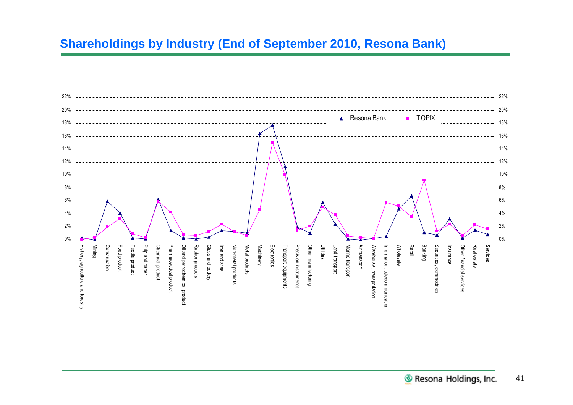# **Shareholdings by Industry (End of September 2010, Resona Bank)**

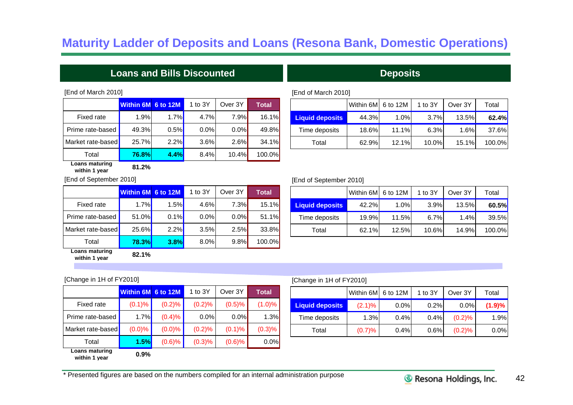# **Maturity Ladder of Deposits and Loans (Resona Bank, Domestic Operations)**

## **Loans and Bills Discounted Contract Contract Contract Deposits**

### [End of March 2010]

|                   | Within 6M 6 to 12M |      | 1 to $3Y$ | Over 3Y | <b>Total</b> |
|-------------------|--------------------|------|-----------|---------|--------------|
| Fixed rate        | 1.9%               | 1.7% | 4.7%      | 7.9%    | 16.1%        |
| Prime rate-based  | 49.3%              | 0.5% | $0.0\%$   | $0.0\%$ | 49.8%        |
| Market rate-based | 25.7%              | 2.2% | 3.6%      | $2.6\%$ | 34.1%        |
| Total             | 76.8%              | 4.4% | 8.4%      | 10.4%   | 100.0%       |

### [End of March 2010]

|                        | Within 6M 6 to 12M |       | 1 to 3Y | Over 3Y | Total  |
|------------------------|--------------------|-------|---------|---------|--------|
| <b>Liquid deposits</b> | 44.3%              | 1.0%  | 3.7%    | 13.5%   | 62.4%  |
| Time deposits          | 18.6%              | 11.1% | 6.3%    | 1.6%    | 37.6%  |
| Total                  | 62.9%              | 12.1% | 10.0%   | 15.1%   | 100.0% |

**Liquid deposits** 42.2% 1.0% 3.9% 13.5% **60.5%** Time deposits | 19.9% 11.5% 6.7% 1.4% 39.5%

Total 62.1% 12.5% 10.6% 14.9% 100.0%

Within 6M 6 to 12M  $\vert$  1 to 3Y  $\vert$  Over 3Y  $\vert$  Total

### **Loans maturing within 1 year 81.2%**

[End of September 2010]

|                   | Within 6M 6 to 12M |         | 1 to 3Y | Over 3Y | <b>Total</b> |
|-------------------|--------------------|---------|---------|---------|--------------|
| Fixed rate        | 1.7%               | 1.5%    | 4.6%    | 7.3%    | 15.1%        |
| Prime rate-based  | 51.0%              | 0.1%    | 0.0%    | $0.0\%$ | 51.1%        |
| Market rate-based | <b>25.6%</b>       | $2.2\%$ | 3.5%    | 2.5%    | 33.8%        |
| Total             | <b>78.3%</b>       | 3.8%    | 8.0%    | 9.8%    | 100.0%       |

**Loans maturing within 1 year 82.1%**

### [Change in 1H of FY2010]

|                   | Within 6M 6 to 12M |        | 1 to $3Y$ | Over 3Y | Total  |
|-------------------|--------------------|--------|-----------|---------|--------|
| <b>Fixed rate</b> | $(0.1)$ %          | (0.2)% | (0.2)%    | (0.5)%  | (1.0)% |
| Prime rate-based  | 1.7%               | (0.4)% | 0.0%      | 0.0%    | 1.3%   |
| Market rate-based | $(0.0) \%$         | (0.0)% | (0.2)%    | (0.1)%  | (0.3)% |
| Total             | 1.5%               | (0.6)% | (0.3)%    | (0.6)%  | 0.0%   |
| Loans maturing    | <b>0.00/</b>       |        |           |         |        |

**within 1 year 0.9%**

## [Change in 1H of FY2010]

[End of September 2010]

|                        | Within 6M 6 to 12M |      | 1 to 3Y | Over 3Y | Total   |
|------------------------|--------------------|------|---------|---------|---------|
| <b>Liquid deposits</b> | $(2.1)\%$          | 0.0% | 0.2%    | 0.0%    | (1.9)%  |
| Time deposits          | 1.3%               | 0.4% | 0.4%    | (0.2)%  | 1.9%    |
| Total                  | (0.7)%             | 0.4% | 0.6%    | (0.2)%  | $0.0\%$ |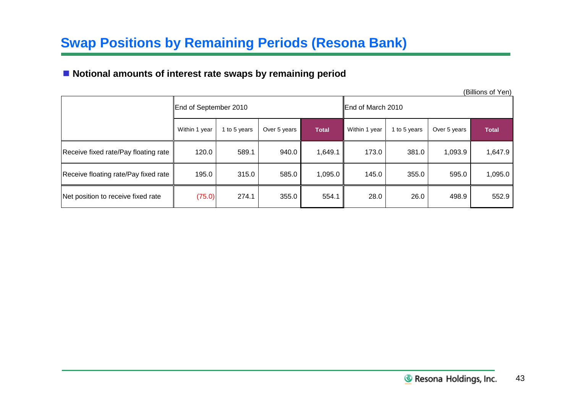# **Swap Positions by Remaining Periods (Resona Bank)**

## **Notional amounts of interest rate swaps by remaining period**

(Billions of Yen)

|                                      | End of September 2010 |              |              |              | End of March 2010 |              |              |              |  |
|--------------------------------------|-----------------------|--------------|--------------|--------------|-------------------|--------------|--------------|--------------|--|
|                                      | Within 1 year         | 1 to 5 years | Over 5 years | <b>Total</b> | Within 1 year     | 1 to 5 years | Over 5 years | <b>Total</b> |  |
| Receive fixed rate/Pay floating rate | 120.0                 | 589.1        | 940.0        | 1,649.1      | 173.0             | 381.0        | 1,093.9      | 1,647.9      |  |
| Receive floating rate/Pay fixed rate | 195.0                 | 315.0        | 585.0        | 1,095.0      | 145.0             | 355.0        | 595.0        | 1,095.0      |  |
| Net position to receive fixed rate   | (75.0)                | 274.1        | 355.0        | 554.1        | 28.0              | 26.0         | 498.9        | 552.9        |  |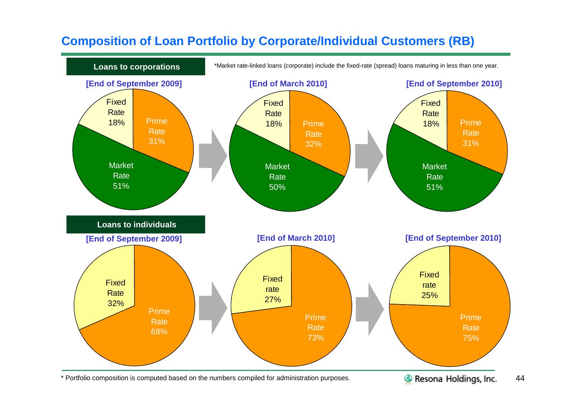# **Composition of Loan Portfolio by Corporate/Individual Customers (RB)**



\* Portfolio composition is computed based on the numbers compiled for administration purposes.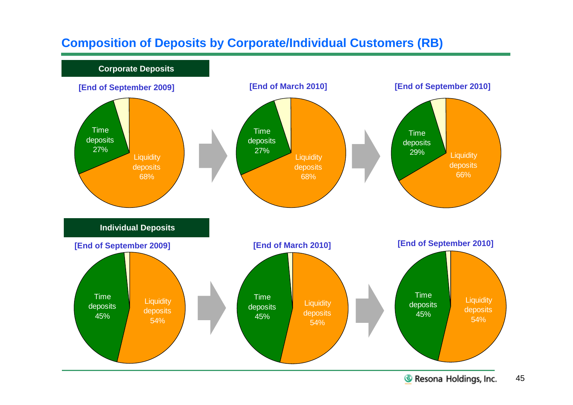# **Composition of Deposits by Corporate/Individual Customers (RB)**

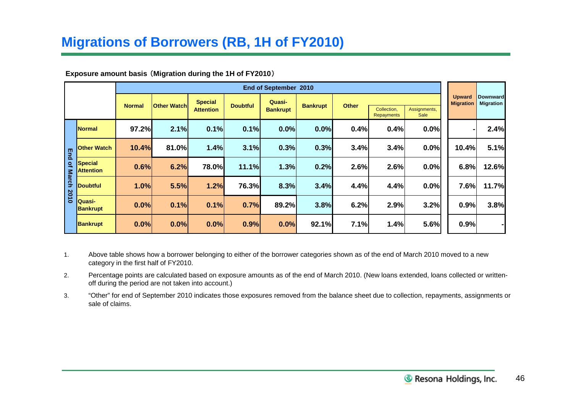# **Migrations of Borrowers (RB, 1H of FY2010)**

### **Exposure amount basis** (**Migration during the 1H of FY2010**)

|                 | End of September 2010              |                                      |       |                                    |                                              |       |                 |              |                    |                      |       |                                                         |
|-----------------|------------------------------------|--------------------------------------|-------|------------------------------------|----------------------------------------------|-------|-----------------|--------------|--------------------|----------------------|-------|---------------------------------------------------------|
|                 |                                    | <b>Other Watchl</b><br><b>Normal</b> |       | <b>Special</b><br><b>Attention</b> | Quasi-<br><b>Doubtful</b><br><b>Bankrupt</b> |       | <b>Bankrupt</b> | <b>Other</b> | Collection,        | Assignments,<br>Sale |       | <b>Downward</b><br><b>Migration</b><br><b>Migration</b> |
|                 | <b>Normal</b>                      | 97.2%                                | 2.1%  | 0.1%                               | 0.1%                                         | 0.0%  | 0.0%            | 0.4%         | Repayments<br>0.4% | 0.0%                 |       | 2.4%                                                    |
| $\mathbb{E}$ nd | <b>Other Watch</b>                 | 10.4%                                | 81.0% | 1.4%                               | 3.1%                                         | 0.3%  | 0.3%            | 3.4%         | 3.4%               | 0.0%                 | 10.4% | 5.1%                                                    |
| of March        | <b>Special</b><br><b>Attention</b> | 0.6%                                 | 6.2%  | 78.0%                              | 11.1%                                        | 1.3%  | 0.2%            | 2.6%         | 2.6%               | 0.0%                 | 6.8%  | 12.6%                                                   |
|                 | <b>Doubtful</b>                    | 1.0%                                 | 5.5%  | 1.2%                               | 76.3%                                        | 8.3%  | 3.4%            | 4.4%         | 4.4%               | 0.0%                 | 7.6%  | 11.7%                                                   |
| 2010            | Quasi-<br><b>Bankrupt</b>          | 0.0%                                 | 0.1%  | 0.1%                               | 0.7%                                         | 89.2% | 3.8%            | 6.2%         | 2.9%               | 3.2%                 | 0.9%  | 3.8%                                                    |
|                 | <b>Bankrupt</b>                    | 0.0%                                 | 0.0%  | 0.0%                               | 0.9%                                         | 0.0%  | 92.1%           | 7.1%         | 1.4%               | 5.6%                 | 0.9%  | ۰                                                       |

- 1. Above table shows how a borrower belonging to either of the borrower categories shown as of the end of March 2010 moved to a new category in the first half of FY2010.
- 2. Percentage points are calculated based on exposure amounts as of the end of March 2010. (New loans extended, loans collected or writtenoff during the period are not taken into account.)
- 3. "Other" for end of September 2010 indicates those exposures removed from the balance sheet due to collection, repayments, assignments or sale of claims.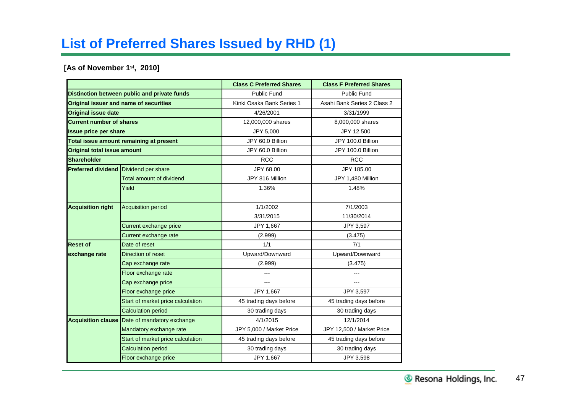# **List of Preferred Shares Issued by RHD (1)**

### **[As of November 1st, 2010]**

|                                        |                                              | <b>Class C Preferred Shares</b> | <b>Class F Preferred Shares</b> |  |  |  |
|----------------------------------------|----------------------------------------------|---------------------------------|---------------------------------|--|--|--|
|                                        | Distinction between public and private funds | <b>Public Fund</b>              | <b>Public Fund</b>              |  |  |  |
| Original issuer and name of securities |                                              | Kinki Osaka Bank Series 1       | Asahi Bank Series 2 Class 2     |  |  |  |
| <b>Original issue date</b>             |                                              | 4/26/2001                       | 3/31/1999                       |  |  |  |
| <b>Current number of shares</b>        |                                              | 12,000,000 shares               | 8,000,000 shares                |  |  |  |
| <b>Issue price per share</b>           |                                              | JPY 5,000                       | JPY 12,500                      |  |  |  |
|                                        | Total issue amount remaining at present      | JPY 60.0 Billion                | JPY 100.0 Billion               |  |  |  |
| <b>Original total issue amount</b>     |                                              | JPY 60.0 Billion                | JPY 100.0 Billion               |  |  |  |
| <b>Shareholder</b>                     |                                              | <b>RCC</b>                      | <b>RCC</b>                      |  |  |  |
| <b>Preferred dividend</b>              | Dividend per share                           | JPY 68.00                       | JPY 185.00                      |  |  |  |
|                                        | Total amount of dividend                     | JPY 816 Million                 | JPY 1,480 Million               |  |  |  |
|                                        | Yield                                        | 1.36%                           | 1.48%                           |  |  |  |
| <b>Acquisition right</b>               | <b>Acquisition period</b>                    | 1/1/2002                        | 7/1/2003                        |  |  |  |
|                                        |                                              | 3/31/2015                       | 11/30/2014                      |  |  |  |
|                                        | Current exchange price                       | JPY 1,667                       | JPY 3,597                       |  |  |  |
|                                        | Current exchange rate                        | (2.999)                         | (3.475)                         |  |  |  |
| <b>Reset of</b>                        | Date of reset                                | 1/1                             | 7/1                             |  |  |  |
| exchange rate                          | Direction of reset                           | Upward/Downward                 | Upward/Downward                 |  |  |  |
|                                        | Cap exchange rate                            | (2.999)                         | (3.475)                         |  |  |  |
|                                        | Floor exchange rate                          |                                 |                                 |  |  |  |
|                                        | Cap exchange price                           | ---                             |                                 |  |  |  |
|                                        | Floor exchange price                         | JPY 1,667                       | JPY 3,597                       |  |  |  |
|                                        | Start of market price calculation            | 45 trading days before          | 45 trading days before          |  |  |  |
|                                        | <b>Calculation period</b>                    | 30 trading days                 | 30 trading days                 |  |  |  |
| <b>Acquisition clause</b>              | Date of mandatory exchange                   | 4/1/2015                        | 12/1/2014                       |  |  |  |
|                                        | Mandatory exchange rate                      | JPY 5,000 / Market Price        | JPY 12,500 / Market Price       |  |  |  |
|                                        | Start of market price calculation            | 45 trading days before          | 45 trading days before          |  |  |  |
|                                        | <b>Calculation period</b>                    | 30 trading days                 | 30 trading days                 |  |  |  |
|                                        | Floor exchange price                         | JPY 1,667                       | JPY 3,598                       |  |  |  |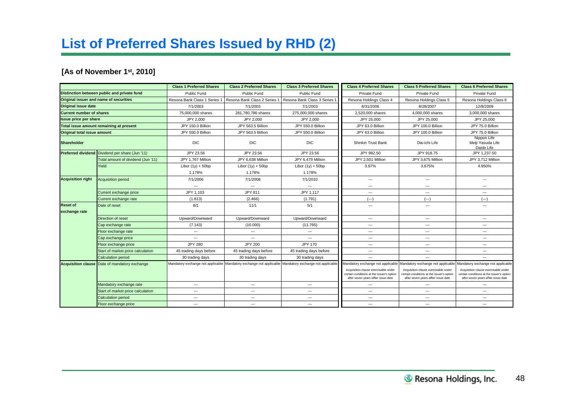# **List of Preferred Shares Issued by RHD (2)**

## **[As of November 1st, 2010]**

|                                         |                                                 | <b>Class 1 Preferred Shares</b> | <b>Class 2 Preferred Shares</b>                                                                       | <b>Class 3 Preferred Shares</b> | <b>Class 4 Preferred Shares</b>                                                                                          | <b>Class 5 Preferred Shares</b>                                                                                          | <b>Class 6 Preferred Shares</b>                                                                                          |  |
|-----------------------------------------|-------------------------------------------------|---------------------------------|-------------------------------------------------------------------------------------------------------|---------------------------------|--------------------------------------------------------------------------------------------------------------------------|--------------------------------------------------------------------------------------------------------------------------|--------------------------------------------------------------------------------------------------------------------------|--|
|                                         | Distinction between public and private fund     | Public Fund                     | Public Fund                                                                                           | Public Fund                     | Private Fund                                                                                                             | Private Fund                                                                                                             | Private Fund                                                                                                             |  |
| Original issuer and name of securities  |                                                 | Resona Bank Class 1 Series 1    | Resona Bank Class 2 Series 1                                                                          | Resona Bank Class 3 Series      | Resona Holdings Class 4                                                                                                  | Resona Holdings Class 5                                                                                                  | Resona Holdings Class 6                                                                                                  |  |
| <b>Original issue date</b>              |                                                 | 7/1/2003                        | 7/1/2003                                                                                              | 7/1/2003                        | 8/31/2006                                                                                                                | 8/28/2007                                                                                                                | 12/8/2009                                                                                                                |  |
| <b>Current number of shares</b>         |                                                 | 75,000,000 shares               | 281,780,786 shares                                                                                    | 275,000,000 shares              | 2,520,000 shares                                                                                                         | 4,000,000 shares                                                                                                         | 3,000,000 shares                                                                                                         |  |
| <b>Issue price per share</b>            |                                                 | JPY 2,000                       | JPY 2,000<br>JPY 2,000                                                                                |                                 | JPY 25,000                                                                                                               | JPY 25,000                                                                                                               | JPY 25,000                                                                                                               |  |
| Total issue amount remaining at present |                                                 | JPY 150.0 Billion               | JPY 563.5 Billion                                                                                     | JPY 550.0 Billion               | JPY 63.0 Billion                                                                                                         | JPY 100.0 Billion                                                                                                        | JPY 75.0 Billion                                                                                                         |  |
| Original total issue amount             |                                                 | JPY 550.0 Billion               | JPY 563.5 Billion                                                                                     | JPY 550.0 Billion               | JPY 63.0 Billion                                                                                                         | JPY 100.0 Billion                                                                                                        | JPY 75.0 Billion                                                                                                         |  |
| <b>Shareholder</b>                      |                                                 | <b>DIC</b>                      | <b>DIC</b>                                                                                            | <b>DIC</b>                      | <b>Shinkin Trust Bank</b>                                                                                                | Dai-ichi Life                                                                                                            | Nippon Life<br>Meiii Yasuda Life<br>Daido Life                                                                           |  |
|                                         | Preferred dividend Dividend per share (Jun '11) | JPY 23.56                       | JPY 23.56                                                                                             | JPY 23.56                       | JPY 992.50                                                                                                               | JPY 918.75                                                                                                               | JPY 1,237.50                                                                                                             |  |
|                                         | Total amount of dividend (Jun '11)              | JPY 1.767 Million               | JPY 6.638 Million                                                                                     | JPY 6.479 Million               | JPY 2,501 Million                                                                                                        | JPY 3,675 Million                                                                                                        | JPY 3,712 Million                                                                                                        |  |
|                                         | Yield                                           | Libor $(1y) + 50bp$             | Libor $(1y) + 50bp$                                                                                   | Libor $(1y) + 50bp$             | 3.97%                                                                                                                    | 3.675%                                                                                                                   | 4.950%                                                                                                                   |  |
|                                         |                                                 | 1.178%                          | 1.178%                                                                                                | 1.178%                          |                                                                                                                          |                                                                                                                          |                                                                                                                          |  |
| <b>Acquisition right</b>                | <b>Acquisition period</b>                       | 7/1/2006                        | 7/1/2008                                                                                              | 7/1/2010                        | ---                                                                                                                      | $\cdots$                                                                                                                 | ---                                                                                                                      |  |
|                                         |                                                 | $\cdots$                        | $\hspace{0.05cm} \ldots$                                                                              | $\hspace{0.05cm}\ldots$         | $\cdots$                                                                                                                 | $\overline{\phantom{a}}$                                                                                                 | ---                                                                                                                      |  |
|                                         | Current exchange price                          | JPY 1,103                       | <b>JPY 811</b>                                                                                        | JPY 1,117                       | ---                                                                                                                      | $\hspace{0.05cm} \ldots$                                                                                                 | ---                                                                                                                      |  |
|                                         | Current exchange rate                           | (1.813)                         | (2.466)                                                                                               | (1.791)                         | $(- - )$                                                                                                                 | $(--)$                                                                                                                   | $(--)$                                                                                                                   |  |
| <b>Reset of</b><br>exchange rate        | Date of reset                                   | 8/1                             | 11/1                                                                                                  | 5/1                             | ---                                                                                                                      | $\cdots$                                                                                                                 | ---                                                                                                                      |  |
|                                         | Direction of reset                              | Upward/Downward                 | Upward/Downward                                                                                       | Upward/Downward                 | $\cdots$                                                                                                                 | $\hspace{0.05cm} \ldots$                                                                                                 | $\overline{a}$                                                                                                           |  |
|                                         | Cap exchange rate                               | (7.143)                         | (10.000)<br>(11.765)<br>---                                                                           |                                 | $\hspace{0.05cm} \ldots$                                                                                                 | ---                                                                                                                      |                                                                                                                          |  |
|                                         | Floor exchange rate                             | ---                             | ---<br>$\hspace{0.05cm}\ldots$<br>---<br>---                                                          |                                 |                                                                                                                          | ---                                                                                                                      |                                                                                                                          |  |
|                                         | Cap exchange price                              | $\overline{a}$                  | $\overline{a}$<br>$\overline{a}$<br>---<br>$\overline{\phantom{a}}$                                   |                                 |                                                                                                                          | ---                                                                                                                      |                                                                                                                          |  |
|                                         | Floor exchange price                            | <b>JPY 280</b>                  | <b>JPY 200</b>                                                                                        | <b>JPY 170</b>                  | ---                                                                                                                      | $\cdots$                                                                                                                 | ---                                                                                                                      |  |
|                                         | Start of market price calculation               | 45 trading days before          | 45 trading days before                                                                                | 45 trading days before          | ---                                                                                                                      | $\overline{a}$                                                                                                           | $-$                                                                                                                      |  |
|                                         | <b>Calculation period</b>                       | 30 trading days                 | 30 trading days                                                                                       | 30 trading days                 | ---                                                                                                                      | $\hspace{0.05cm} \ldots$                                                                                                 | $\overline{a}$                                                                                                           |  |
| <b>Acquisition clause</b>               | Date of mandatory exchange                      |                                 | Mandatory exchange not applicable Mandatory exchange not applicable Mandatory exchange not applicable |                                 |                                                                                                                          | Mandatory exchange not applicable Mandatory exchange not applicable                                                      | Mandatory exchange not applicable                                                                                        |  |
|                                         |                                                 |                                 |                                                                                                       |                                 | Acquisition clause exercisable under<br>certain conditions at the issuer's option<br>after seven years affter issue date | Acquisition clause exercisable under<br>certain conditions at the issuer's option<br>after seven years affter issue date | Acquisition clause exercisable under<br>certain conditions at the issuer's option<br>after seven years affter issue date |  |
|                                         | Mandatory exchange rate                         | ---                             | ---                                                                                                   | $\hspace{0.05cm}\ldots$         | ---                                                                                                                      | ---                                                                                                                      | ---                                                                                                                      |  |
|                                         | Start of market price calculation               | ---                             | ---                                                                                                   | $\cdots$                        | ---                                                                                                                      | $\hspace{0.05cm} \ldots$                                                                                                 | ---                                                                                                                      |  |
|                                         | <b>Calculation period</b>                       | ---                             | ---                                                                                                   | $\hspace{0.05cm}\ldots$         | ---                                                                                                                      | $\hspace{0.05cm} \ldots$                                                                                                 | ---                                                                                                                      |  |
|                                         | Floor exchange price                            | $\overline{\phantom{a}}$        | ---                                                                                                   | $\overline{\phantom{a}}$        | ---                                                                                                                      | ---                                                                                                                      | ---                                                                                                                      |  |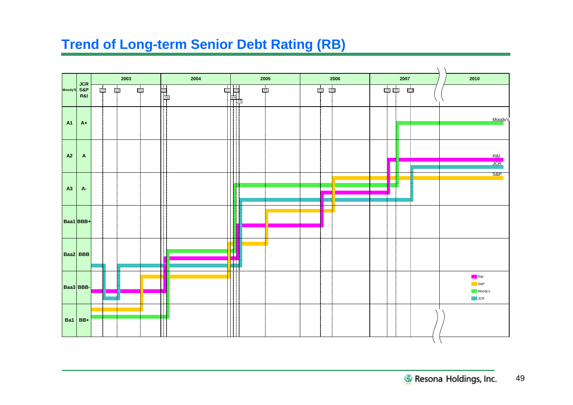# **Trend of Long-term Senior Debt Rating (RB)**

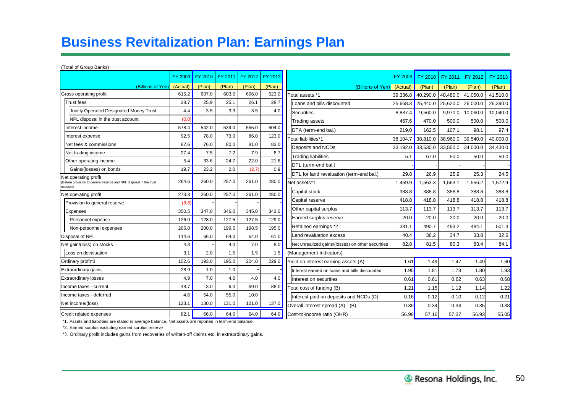# **Business Revitalization Plan: Earnings Plan**

### (Total of Group Banks)

| .                                                                                         |          |         |         |         |         |                                                   |          |          |          |          |          |
|-------------------------------------------------------------------------------------------|----------|---------|---------|---------|---------|---------------------------------------------------|----------|----------|----------|----------|----------|
|                                                                                           | FY 2009  | FY 2010 | FY 2011 | FY 2012 | FY 2013 |                                                   | FY 2009  | FY 2010  | FY 2011  | FY 2012  | FY 2013  |
| (Billions of Yen)                                                                         | (Actual) | (Plan)  | (Plan)  | (Plan)  | (Plan)  | (Billions of Yen                                  | (Actual) | (Plan)   | (Plan)   | (Plan)   | (Plan)   |
| Gross operating profit                                                                    | 615.2    | 607.0   | 603.0   | 606.0   | 623.0   | Total assets *1                                   | 39.336.8 | 40,290.0 | 40,480.0 | 41,050.0 | 41,510.0 |
| <b>Trust</b> fees                                                                         | 28.7     | 25.9    | 25.1    | 26.1    | 28.7    | Loans and bills discounted                        | 25,668.3 | 25,440.0 | 25,620.0 | 26,000.0 | 26,390.0 |
| Jointly Operated Designated Money Trust                                                   | 4.4      | 3.5     | 3.3     | 3.5     | 4.0     | <b>Securities</b>                                 | 8,837.4  | 9,560.0  | 9,970.0  | 10,060.0 | 10,040.0 |
| NPL disposal in the trust account                                                         | (0.0)    |         |         |         |         | <b>Trading assets</b>                             | 467.6    | 470.0    | 500.0    | 500.0    | 500.0    |
| Interest income                                                                           | 578.4    | 542.0   | 539.0   | 555.0   | 604.0   | DTA (term-end bal.)                               | 219.0    | 162.5    | 107.1    | 98.1     | 97.4     |
| Interest expense                                                                          | 92.5     | 78.0    | 73.0    | 86.0    | 123.0   | Total liabilities*1                               | 38,104.7 | 38,810.0 | 38,960.0 | 39,540.0 | 40.000.0 |
| Net fees & commissions                                                                    | 67.6     | 76.0    | 80.0    | 81.0    | 83.0    | Deposits and NCDs                                 | 33,192.0 | 33,630.0 | 33,550.0 | 34,000.0 | 34,430.0 |
| Net trading income                                                                        | 27.4     | 7.5     | 7.2     | 7.9     | 8.7     | <b>Trading liabilities</b>                        | 5.1      | 67.0     | 50.0     | 50.0     | 50.0     |
| Other operating income                                                                    | 5.4      | 33.6    | 24.7    | 22.0    | 21.6    | DTL (term-end bal.)                               |          |          |          |          |          |
| Gains/(losses) on bonds                                                                   | 19.7     | 23.2    | 2.0     | (2.7)   | 0.9     | DTL for land revaluation (term-end bal.)          | 29.8     | 26.9     | 25.9     | 25.3     | 24.5     |
| Net operating profit<br>Before provision to general reserve and NPL disposal in the trust | 264.6    | 260.0   | 257.0   | 261.0   | 280.0   | Net assets*1                                      | 1,459.9  | 1,563.3  | .563.1   | 1,556.2  | 1,572.9  |
| account)                                                                                  |          |         |         |         |         | Capital stock                                     | 388.8    | 388.8    | 388.8    | 388.8    | 388.8    |
| Net operating profit                                                                      | 273.3    | 260.0   | 257.0   | 261.0   | 280.0   | Capital reserve                                   | 418.8    | 418.8    | 418.8    | 418.8    | 418.8    |
| Provision to general reserve                                                              | (8.6)    |         |         |         |         |                                                   |          |          |          |          |          |
| Expenses                                                                                  | 350.5    | 347.0   | 346.0   | 345.0   | 343.0   | Other capital surplus                             | 113.7    | 113.7    | 113.7    | 113.7    | 113.7    |
| Personnel expense                                                                         | 126.0    | 128.0   | 127.5   | 127.5   | 129.0   | Earned surplus reserve                            | 20.0     | 20.0     | 20.0     | 20.0     | 20.0     |
| Non-personnel expenses                                                                    | 206.0    | 200.0   | 199.5   | 198.5   | 195.0   | Retained earnings *2                              | 381.1    | 490.7    | 493.2    | 484.1    | 501.3    |
| Disposal of NPL                                                                           | 114.6    | 66.0    | 64.0    | 64.0    | 61.0    | Land revaluation excess                           | 40.4     | 36.2     | 34.7     | 33.8     | 32.6     |
| Net gain/(loss) on stocks                                                                 | 4.3      |         | 4.0     | 7.0     | 8.0     | Net unrealized gains/(losses) on other securities | 82.8     | 81.5     | 80.3     | 83.4     | 84.1     |
| Loss on devaluation                                                                       | 3.1      | 2.0     | 1.5     | 1.5     | 1.5     | (Management Indicators)                           |          |          |          |          |          |
| Ordinary profit*3                                                                         | 152.6    | 193.0   | 195.0   | 204.0   | 229.0   | Yield on interest earning assets (A)              | 1.61     | 1.49     | 1.47     | 1.49     | 1.60     |
| Extraordinary gains                                                                       | 28.9     | 1.0     | 1.0     |         |         | Interest earned on loans and bills discounted     | 1.95     | 1.81     | 1.78     | 1.80     | 1.93     |
| <b>Extraordinary losses</b>                                                               | 4.9      | 7.0     | 4.0     | 4.0     | 4.0     | Interest on securities                            | 0.61     | 0.61     | 0.62     | 0.63     | 0.68     |
| Income taxes - current                                                                    | 48.7     | 3.0     | 6.0     | 69.0    | 88.0    | Total cost of funding (B)                         | 1.21     | 1.15     | 1.12     | 1.14     | 1.22     |
| Income taxes - deferred                                                                   | 4.6      | 54.0    | 55.0    | 10.0    |         | Interest paid on deposits and NCDs (D)            | 0.16     | 0.12     | 0.10     | 0.12     | 0.21     |
| Net income/(loss)                                                                         | 123.1    | 130.0   | 131.0   | 121.0   | 137.0   | Overall interest spread (A) - (B)                 | 0.39     | 0.34     | 0.34     | 0.35     | 0.38     |
| Credit related expenses                                                                   | 82.1     | 66.0    | 64.0    | 64.0    | 64.0    | Cost-to-income ratio (OHR)                        | 56.98    | 57.16    | 57.37    | 56.93    | 55.05    |

\*1. Assets and liabilities are stated in average balance. Net assets are reported in term-end balance.

\*2. Earned surplus excluding earned surplus reserve

\*3. Ordinary profit includes gains from recoveries of written-off claims etc. in extraordinary gains.